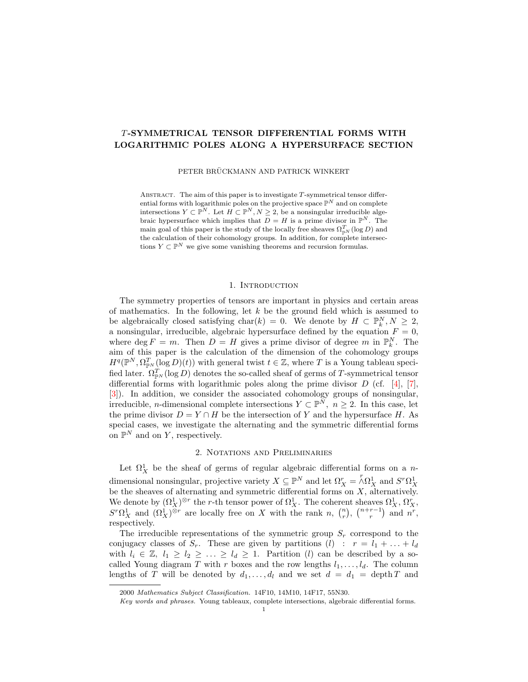## T-SYMMETRICAL TENSOR DIFFERENTIAL FORMS WITH LOGARITHMIC POLES ALONG A HYPERSURFACE SECTION

PETER BRÜCKMANN AND PATRICK WINKERT

ABSTRACT. The aim of this paper is to investigate  $T$ -symmetrical tensor differential forms with logarithmic poles on the projective space  $\mathbb{P}^N$  and on complete intersections  $Y \subset \mathbb{P}^N$ . Let  $H \subset \mathbb{P}^N$ ,  $N \geq 2$ , be a nonsingular irreducible algebraic hypersurface which implies that  $D = H$  is a prime divisor in  $\mathbb{P}^N$ . The main goal of this paper is the study of the locally free sheaves  $\Omega_{\mathbb{P}^N}^T(\log D)$  and the calculation of their cohomology groups. In addition, for complete intersections  $Y \subset \mathbb{P}^N$  we give some vanishing theorems and recursion formulas.

### 1. INTRODUCTION

The symmetry properties of tensors are important in physics and certain areas of mathematics. In the following, let  $k$  be the ground field which is assumed to be algebraically closed satisfying char(k) = 0. We denote by  $H \subset \mathbb{P}_k^N, N \geq 2$ , a nonsingular, irreducible, algebraic hypersurface defined by the equation  $F = 0$ , where  $\deg F = m$ . Then  $D = H$  gives a prime divisor of degree m in  $\mathbb{P}_{k}^{N}$ . The aim of this paper is the calculation of the dimension of the cohomology groups  $H^q(\mathbb{P}^N, \Omega^T_{\mathbb{P}^N}(\log D)(t))$  with general twist  $t \in \mathbb{Z}$ , where T is a Young tableau specified later.  $\Omega_{\mathbb{P}^N}^T(\log D)$  denotes the so-called sheaf of germs of T-symmetrical tensor differential forms with logarithmic poles along the prime divisor  $D$  (cf. [\[4\]](#page-20-0), [\[7\]](#page-20-1), [\[3\]](#page-20-2)). In addition, we consider the associated cohomology groups of nonsingular, irreducible, *n*-dimensional complete intersections  $Y \subset \mathbb{P}^N$ ,  $n \geq 2$ . In this case, let the prime divisor  $D = Y \cap H$  be the intersection of Y and the hypersurface H. As special cases, we investigate the alternating and the symmetric differential forms on  $\mathbb{P}^N$  and on Y, respectively.

# 2. Notations and Preliminaries

Let  $\Omega^1_X$  be the sheaf of germs of regular algebraic differential forms on a ndimensional nonsingular, projective variety  $X \subseteq \mathbb{P}^N$  and let  $\Omega_X^r = \bigwedge^r \Omega_X^1$  and  $S^r \Omega_X^1$ be the sheaves of alternating and symmetric differential forms on  $X$ , alternatively. We denote by  $(\Omega_X^1)^{\otimes r}$  the r-th tensor power of  $\Omega_X^1$ . The coherent sheaves  $\Omega_X^1$ ,  $\Omega_X^r$ ,  $S<sup>r</sup> \Omega_X^1$  and  $(\Omega_X^1)^{\otimes r}$  are locally free on X with the rank n,  $\binom{n}{r}$ ,  $\binom{n+r-1}{r}$  and  $n^r$ , respectively.

The irreducible representations of the symmetric group  $S_r$  correspond to the conjugacy classes of  $S_r$ . These are given by partitions  $(l)$ :  $r = l_1 + ... + l_d$ with  $l_i \in \mathbb{Z}, l_1 \geq l_2 \geq \ldots \geq l_d \geq 1$ . Partition (*l*) can be described by a socalled Young diagram T with r boxes and the row lengths  $l_1, \ldots, l_d$ . The column lengths of T will be denoted by  $d_1, \ldots, d_l$  and we set  $d = d_1$  = depth T and

<sup>2000</sup> Mathematics Subject Classification. 14F10, 14M10, 14F17, 55N30.

Key words and phrases. Young tableaux, complete intersections, algebraic differential forms.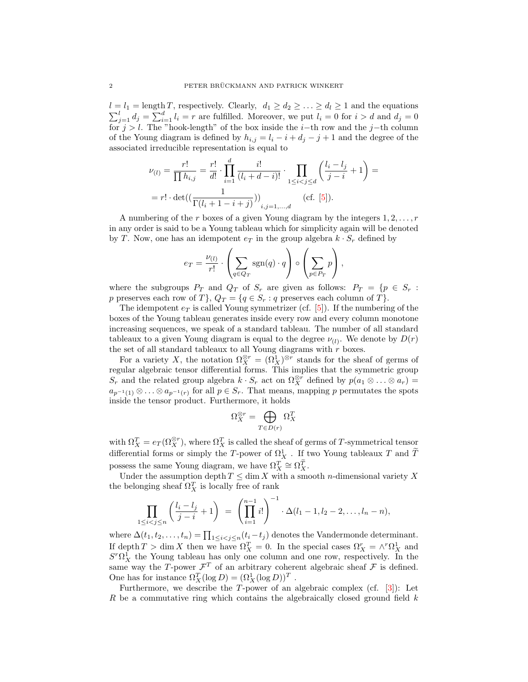$l = l_1 = \text{length } T$ , respectively. Clearly,  $d_1 \geq d_2 \geq \ldots \geq d_l \geq 1$  and the equations  $\sum_{j=1}^{l} d_j = \sum_{i=1}^{d} l_i = r$  are fulfilled. Moreover, we put  $l_i = 0$  for  $i > d$  and  $d_j = 0$ for  $j > l$ . The "hook-length" of the box inside the i–th row and the j–th column of the Young diagram is defined by  $h_{i,j} = l_i - i + d_j - j + 1$  and the degree of the associated irreducible representation is equal to

$$
\nu_{(l)} = \frac{r!}{\prod h_{i,j}} = \frac{r!}{d!} \cdot \prod_{i=1}^d \frac{i!}{(l_i + d - i)!} \cdot \prod_{1 \le i < j \le d} \left(\frac{l_i - l_j}{j - i} + 1\right) =
$$
\n
$$
= r! \cdot \det((\frac{1}{\Gamma(l_i + 1 - i + j)}))_{i,j=1,\dots,d} \quad \text{(cf. [5]).}
$$

A numbering of the r boxes of a given Young diagram by the integers  $1, 2, \ldots, r$ in any order is said to be a Young tableau which for simplicity again will be denoted by T. Now, one has an idempotent  $e_T$  in the group algebra  $k \cdot S_r$  defined by

$$
e_T = \frac{\nu_{(l)}}{r!} \cdot \left( \sum_{q \in Q_T} \text{sgn}(q) \cdot q \right) \circ \left( \sum_{p \in P_T} p \right),
$$

where the subgroups  $P_T$  and  $Q_T$  of  $S_r$  are given as follows:  $P_T = \{p \in S_r :$ p preserves each row of T},  $Q_T = \{q \in S_r : q \text{ preserves each column of } T\}.$ 

The idempotent  $e_T$  is called Young symmetrizer (cf. [\[5\]](#page-20-3)). If the numbering of the boxes of the Young tableau generates inside every row and every column monotone increasing sequences, we speak of a standard tableau. The number of all standard tableaux to a given Young diagram is equal to the degree  $\nu_{(l)}$ . We denote by  $D(r)$ the set of all standard tableaux to all Young diagrams with  $r$  boxes.

For a variety X, the notation  $\Omega_X^{\otimes r} = (\Omega_X^1)^{\otimes r}$  stands for the sheaf of germs of regular algebraic tensor differential forms. This implies that the symmetric group  $S_r$  and the related group algebra  $k \cdot S_r$  act on  $\Omega_X^{\otimes r}$  defined by  $p(a_1 \otimes \ldots \otimes a_r)$  =  $a_{p^{-1}(1)} \otimes \ldots \otimes a_{p^{-1}(r)}$  for all  $p \in S_r$ . That means, mapping p permutates the spots inside the tensor product. Furthermore, it holds

$$
\Omega_X^{\otimes r} = \bigoplus_{T \in D(r)} \Omega_X^T
$$

with  $\Omega_X^T = e_T(\Omega_X^{\otimes r})$ , where  $\Omega_X^T$  is called the sheaf of germs of T-symmetrical tensor differential forms or simply the T-power of  $\Omega_X^1$ . If two Young tableaux T and  $\widetilde{T}$ possess the same Young diagram, we have  $\Omega_X^T \cong \Omega_X^{\widetilde{T}}$ .

Under the assumption depth  $T \leq \dim X$  with a smooth *n*-dimensional variety X the belonging sheaf  $\Omega_X^T$  is locally free of rank

$$
\prod_{1 \leq i < j \leq n} \left( \frac{l_i - l_j}{j - i} + 1 \right) \ = \ \left( \prod_{i=1}^{n-1} i! \right)^{-1} \cdot \Delta(l_1 - 1, l_2 - 2, \dots, l_n - n),
$$

where  $\Delta(t_1, t_2, \ldots, t_n) = \prod_{1 \leq i < j \leq n} (t_i - t_j)$  denotes the Vandermonde determinant. If depth  $T > \dim X$  then we have  $\Omega_X^T = 0$ . In the special cases  $\Omega_X^r = \wedge^r \Omega_X^1$  and  $S<sup>r</sup> \Omega_X^1$  the Young tableau has only one column and one row, respectively. In the same way the T-power  $\mathcal{F}^T$  of an arbitrary coherent algebraic sheaf  $\mathcal F$  is defined. One has for instance  $\Omega_X^T(\log D) = (\Omega_X^1(\log D))^T$ .

Furthermore, we describe the T-power of an algebraic complex (cf.  $[3]$ ): Let R be a commutative ring which contains the algebraically closed ground field  $k$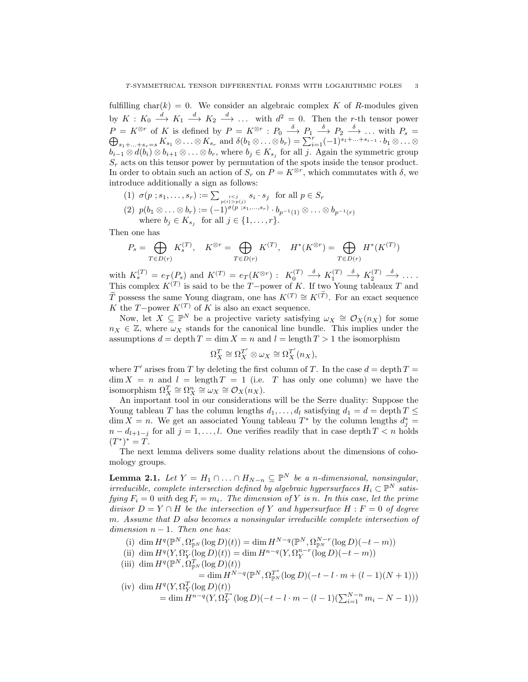fulfilling char(k) = 0. We consider an algebraic complex K of R-modules given by  $K: K_0 \longrightarrow K_1 \longrightarrow K_2 \longrightarrow \dots$  with  $d^2 = 0$ . Then the r-th tensor power  $P = K^{\otimes r}$  of K is defined by  $P = K^{\otimes r} : P_0 \longrightarrow P_1 \longrightarrow P_2 \longrightarrow$  $\oplus$  $\stackrel{\circ}{\longrightarrow} \ldots$  with  $P_s =$  $s_1+\ldots+s_r=s\ K_{s_1}\otimes\ldots\otimes K_{s_r}$  and  $\delta(b_1\otimes\ldots\otimes b_r)=\sum_{i=1}^r(-1)^{s_1+\ldots+s_{i-1}}\cdot b_1\otimes\ldots\otimes b_r$  $b_{i-1} \otimes d(b_i) \otimes b_{i+1} \otimes \ldots \otimes b_r$ , where  $b_j \in K_{s_j}$  for all j. Again the symmetric group  $S_r$  acts on this tensor power by permutation of the spots inside the tensor product. In order to obtain such an action of  $S_r$  on  $P = K^{\otimes r}$ , which commutates with  $\delta$ , we introduce additionally a sign as follows:

(1)  $\sigma(p \; ; s_1, \ldots, s_r) := \sum_{\substack{i < j \\ p(i) > p(j)}} s_i \cdot s_j \; \text{ for all } p \in S_r$ 

(2) 
$$
p(b_1 \otimes \ldots \otimes b_r) := (-1)^{\sigma(p \ s_1, \ldots, s_r)} \cdot b_{p^{-1}(1)} \otimes \ldots \otimes b_{p^{-1}(r)}
$$
  
where  $b_j \in K_{s_j}$  for all  $j \in \{1, \ldots, r\}.$ 

Then one has

$$
P_s = \bigoplus_{T \in D(r)} K_s^{(T)}, \quad K^{\otimes r} = \bigoplus_{T \in D(r)} K^{(T)}, \quad H^*(K^{\otimes r}) = \bigoplus_{T \in D(r)} H^*(K^{(T)})
$$

with  $K_s^{(T)} = e_T(P_s)$  and  $K^{(T)} = e_T(K^{\otimes r})$ :  $K_0^{(T)}$  $\stackrel{\delta}{\longrightarrow} K_1^{(T)}$  $\stackrel{\delta}{\longrightarrow} K_2^{(T)}$  $\stackrel{\delta}{\longrightarrow} \cdots$ . This complex  $K^{(T)}$  is said to be the T−power of K. If two Young tableaux T and  $\widetilde{T}$  possess the same Young diagram, one has  $K^{(T)} \cong K^{(\widetilde{T})}$ . For an exact sequence K the T−power  $K^{(T)}$  of K is also an exact sequence.

Now, let  $X \subseteq \mathbb{P}^N$  be a projective variety satisfying  $\omega_X \cong \mathcal{O}_X(n_X)$  for some  $n_X \in \mathbb{Z}$ , where  $\omega_X$  stands for the canonical line bundle. This implies under the assumptions  $d = \operatorname{depth} T = \dim X = n$  and  $l = \operatorname{length} T > 1$  the isomorphism

$$
\Omega_X^T \cong \Omega_X^{T'} \otimes \omega_X \cong \Omega_X^{T'}(n_X),
$$

where T' arises from T by deleting the first column of T. In the case  $d = \text{depth } T =$  $\dim X = n$  and  $l = \text{length } T = 1$  (i.e. T has only one column) we have the isomorphism  $\Omega_X^T \cong \Omega_X^n \cong \omega_X \cong \mathcal{O}_X(n_X)$ .

An important tool in our considerations will be the Serre duality: Suppose the Young tableau T has the column lengths  $d_1, \ldots, d_l$  satisfying  $d_1 = d = \text{depth } T \leq$  $\dim X = n$ . We get an associated Young tableau  $T^*$  by the column lengths  $d_j^* =$  $n - d_{l+1-j}$  for all  $j = 1, \ldots, l$ . One verifies readily that in case depth  $T < n$  holds  $(T^*)^* = T.$ 

The next lemma delivers some duality relations about the dimensions of cohomology groups.

<span id="page-2-0"></span>**Lemma 2.1.** Let  $Y = H_1 \cap ... \cap H_{N-n} \subseteq \mathbb{P}^N$  be a n-dimensional, nonsingular, irreducible, complete intersection defined by algebraic hypersurfaces  $H_i \subset \mathbb{P}^N$  satisfying  $F_i = 0$  with deg  $F_i = m_i$ . The dimension of Y is n. In this case, let the prime divisor  $D = Y \cap H$  be the intersection of Y and hypersurface  $H : F = 0$  of degree m. Assume that D also becomes a nonsingular irreducible complete intersection of dimension  $n - 1$ . Then one has:

- (i) dim  $H^q(\mathbb{P}^N, \Omega_{\mathbb{P}^N}^r(\log D)(t)) = \dim H^{N-q}(\mathbb{P}^N, \Omega_{\mathbb{P}^N}^{N-r}(\log D)(-t-m))$
- (ii) dim  $H^q(Y, \Omega_Y^r(\log D)(t)) = \dim H^{n-q}(Y, \Omega_Y^{n-r}(\log D)(-t-m))$
- (iii) dim  $H^q(\mathbb{P}^N, \Omega_{\mathbb{P}^N}^T(\log D)(t))$

$$
= \dim H^{N-q}(\mathbb{P}^N, \Omega_{\mathbb{P}^N}^{T^*}(\log D)(-t - l \cdot m + (l-1)(N+1)))
$$
  

$$
H^q(Y, \Omega_Y^T(\log D)(t))
$$

(iv) dim 
$$
H^q(Y, \Omega_Y^T(\log D)(t))
$$
  
= dim  $H^{n-q}(Y, \Omega_Y^{T^*}(\log D)(-t - l \cdot m - (l-1)(\sum_{i=1}^{N-n} m_i - N - 1)))$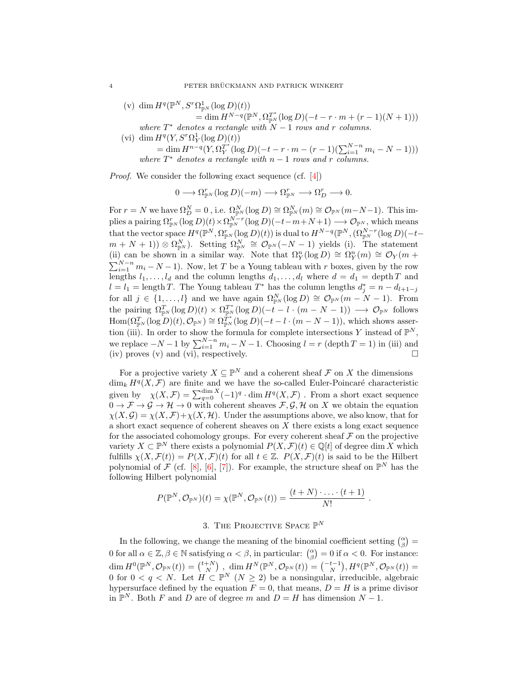- (v) dim  $H^q(\mathbb{P}^N, S^r \Omega^1_{\mathbb{P}^N}(\log D)(t))$  $=\dim H^{N-q}(\mathbb{P}^N,\Omega_{\mathbb{P}^N}^{T^*}(\log D)(-t-r\cdot m+(r-1)(N+1)))$ where  $T^*$  denotes a rectangle with  $N-1$  rows and r columns.
- (vi) dim  $H^q(Y, S^r \Omega_Y^1(\log D)(t))$  $= \dim H^{n-q}(Y, \Omega_Y^{T^*}(\log D)(-t - r \cdot m - (r-1)(\sum_{i=1}^{N-n} m_i - N - 1)))$ where  $T^*$  denotes a rectangle with  $n-1$  rows and r columns.

Proof. We consider the following exact sequence (cf. [\[4\]](#page-20-0))

 $0 \longrightarrow \Omega_{\mathbb{P}^N}^r(\log D)(-m) \longrightarrow \Omega_{\mathbb{P}^N}^r \longrightarrow \Omega_D^r \longrightarrow 0.$ 

For  $r = N$  we have  $\Omega_D^N = 0$ , i.e.  $\Omega_{\mathbb{P}^N}^N(\log D) \cong \Omega_{\mathbb{P}^N}^N(m) \cong \mathcal{O}_{\mathbb{P}^N}(m-N-1)$ . This implies a pairing  $\Omega_{\mathbb{P}^N}^r(\log D)(t) \times \Omega_{\mathbb{P}^N}^{N-r}(\log D)(-t-m+N+1) \longrightarrow \mathcal{O}_{\mathbb{P}^N}$ , which means that the vector space  $H^q(\mathbb{P}^N, \Omega_{\mathbb{P}^N}^r(\log D)(t))$  is dual to  $H^{N-q}(\mathbb{P}^N, (\Omega_{\mathbb{P}^N}^{N-r}(\log D)(-t$  $(m+N+1)$  ⊗  $\Omega_{\mathbb{P}^N}^N$ ). Setting  $\Omega_{\mathbb{P}^N}^N \cong \mathcal{O}_{\mathbb{P}^N}(-N-1)$  yields (i). The statement (ii) can be shown in a similar way. Note that  $\Omega_Y^n(\log D) \cong \Omega_Y^n(m) \cong \mathcal{O}_Y(m +$  $\sum_{i=1}^{N-n} m_i - N - 1$ ). Now, let T be a Young tableau with r boxes, given by the row lengths  $l_1, \ldots, l_d$  and the column lengths  $d_1, \ldots, d_l$  where  $d = d_1 = \text{depth } T$  and  $l = l_1 = \text{length } T$ . The Young tableau  $T^*$  has the column lengths  $d_j^* = n - d_{l+1-j}$ for all  $j \in \{1, ..., l\}$  and we have again  $\Omega_{\mathbb{P}^N}^N(\log D) \cong \mathcal{O}_{\mathbb{P}^N}(m-N-1)$ . From the pairing  $\Omega_{\mathbb{P}^N}^T(\log D)(t) \times \Omega_{\mathbb{P}^N}^{T^*}(\log D)(-\tilde{t}-l \cdot (m-N-1)) \longrightarrow \mathcal{O}_{\mathbb{P}^N}$  follows  $\text{Hom}(\Omega_{\mathbb{P}^N}^T(\log D)(t), \mathcal{O}_{\mathbb{P}^N}) \cong \Omega_{\mathbb{P}^N}^{\tilde{T}^*}(\log D)(-t-l\cdot(m-N-1)),$  which shows assertion (iii). In order to show the formula for complete intersections Y instead of  $\mathbb{P}^N$ , we replace  $-N-1$  by  $\sum_{i=1}^{N-n} m_i - N-1$ . Choosing  $l = r$  (depth  $T = 1$ ) in (iii) and (iv) proves (v) and (vi), respectively.

For a projective variety  $X \subseteq \mathbb{P}^N$  and a coherent sheaf  $\mathcal F$  on  $X$  the dimensions  $\dim_k H^q(X,\mathcal{F})$  are finite and we have the so-called Euler-Poincaré characteristic given by  $\chi(X, \mathcal{F}) = \sum_{q=0}^{\dim X} (-1)^q \cdot \dim H^q(X, \mathcal{F})$ . From a short exact sequence  $0 \to \mathcal{F} \to \mathcal{G} \to \mathcal{H} \to 0$  with coherent sheaves  $\mathcal{F}, \mathcal{G}, \mathcal{H}$  on X we obtain the equation  $\chi(X,\mathcal{G}) = \chi(X,\mathcal{F}) + \chi(X,\mathcal{H})$ . Under the assumptions above, we also know, that for a short exact sequence of coherent sheaves on  $X$  there exists a long exact sequence for the associated cohomology groups. For every coherent sheaf  $\mathcal F$  on the projective variety  $X \subset \mathbb{P}^N$  there exists a polynomial  $P(X, \mathcal{F})(t) \in \mathbb{Q}[t]$  of degree dim X which fulfills  $\chi(X,\mathcal{F}(t)) = P(X,\mathcal{F})(t)$  for all  $t \in \mathbb{Z}$ .  $P(X,\mathcal{F})(t)$  is said to be the Hilbert polynomial of  $\mathcal{F}$  (cf. [\[8\]](#page-20-4), [\[6\]](#page-20-5), [\[7\]](#page-20-1)). For example, the structure sheaf on  $\mathbb{P}^N$  has the following Hilbert polynomial

$$
P(\mathbb{P}^N, \mathcal{O}_{\mathbb{P}^N})(t) = \chi(\mathbb{P}^N, \mathcal{O}_{\mathbb{P}^N}(t)) = \frac{(t+N)\cdot \ldots \cdot (t+1)}{N!}.
$$

# 3. THE PROJECTIVE SPACE  $\mathbb{P}^N$

In the following, we change the meaning of the binomial coefficient setting  $\binom{\alpha}{\beta}$  = 0 for all  $\alpha \in \mathbb{Z}, \beta \in \mathbb{N}$  satisfying  $\alpha < \beta$ , in particular:  $\binom{\alpha}{\beta} = 0$  if  $\alpha < 0$ . For instance:  $\dim H^0(\mathbb{P}^N, \mathcal{O}_{\mathbb{P}^N}(t)) = \binom{t+N}{N} \;, \; \dim H^N(\mathbb{P}^N, \mathcal{O}_{\mathbb{P}^N}(t)) = \binom{-t-1}{N}, H^q(\mathbb{P}^N, \mathcal{O}_{\mathbb{P}^N}(t)) =$ 0 for  $0 < q < N$ . Let  $H \subset \mathbb{P}^N$   $(N \geq 2)$  be a nonsingular, irreducible, algebraic hypersurface defined by the equation  $F = 0$ , that means,  $D = H$  is a prime divisor in  $\mathbb{P}^N$ . Both F and D are of degree m and  $D = H$  has dimension  $N - 1$ .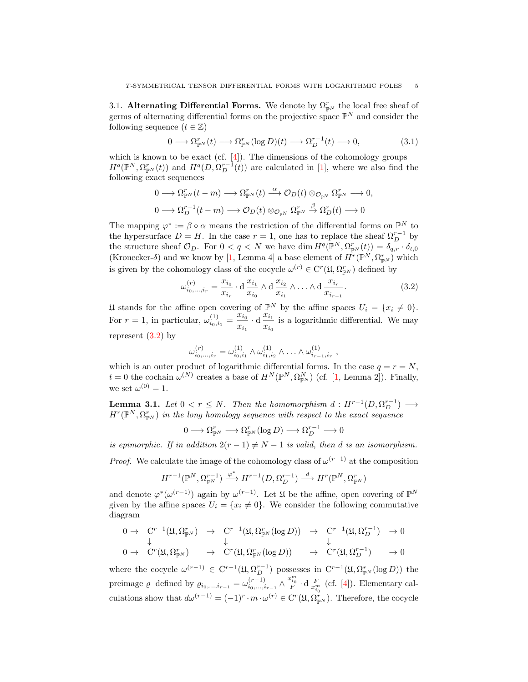3.1. Alternating Differential Forms. We denote by  $\Omega_{\mathbb{P}^N}^r$  the local free sheaf of germs of alternating differential forms on the projective space  $\mathbb{P}^N$  and consider the following sequence  $(t \in \mathbb{Z})$ 

<span id="page-4-1"></span>
$$
0 \longrightarrow \Omega_{\mathbb{P}^N}^r(t) \longrightarrow \Omega_{\mathbb{P}^N}^r(\log D)(t) \longrightarrow \Omega_D^{r-1}(t) \longrightarrow 0,
$$
\n(3.1)

which is known to be exact (cf.  $[4]$ ). The dimensions of the cohomology groups  $H^q(\mathbb{P}^N, \Omega_{\mathbb{P}^N}^r(t))$  and  $H^q(D, \Omega_D^{r-1}(t))$  are calculated in [\[1\]](#page-20-6), where we also find the following exact sequences

$$
0 \longrightarrow \Omega_{\mathbb{P}^N}^r(t-m) \longrightarrow \Omega_{\mathbb{P}^N}^r(t) \stackrel{\alpha}{\longrightarrow} \mathcal{O}_D(t) \otimes_{\mathcal{O}_{\mathbb{P}^N}} \Omega_{\mathbb{P}^N}^r \longrightarrow 0,
$$
  

$$
0 \longrightarrow \Omega_D^{r-1}(t-m) \longrightarrow \mathcal{O}_D(t) \otimes_{\mathcal{O}_{\mathbb{P}^N}} \Omega_{\mathbb{P}^N}^r \stackrel{\beta}{\longrightarrow} \Omega_D^r(t) \longrightarrow 0
$$

The mapping  $\varphi^* := \beta \circ \alpha$  means the restriction of the differential forms on  $\mathbb{P}^N$  to the hypersurface  $D = H$ . In the case  $r = 1$ , one has to replace the sheaf  $\Omega_D^{r-1}$  by the structure sheaf  $\mathcal{O}_D$ . For  $0 < q < N$  we have dim  $H^q(\mathbb{P}^N, \Omega_{\mathbb{P}^N}^r(t)) = \delta_{q,r} \cdot \delta_{t,0}$ (Kronecker-δ) and we know by [\[1,](#page-20-6) Lemma 4] a base element of  $\hat{H}^r(\mathbb{P}^N, \Omega_{\mathbb{P}^N}^r)$  which is given by the cohomology class of the cocycle  $\omega^{(r)} \in C^r(\mathfrak{U}, \Omega_{\mathbb{P}^N}^r)$  defined by

<span id="page-4-0"></span>
$$
\omega_{i_0,\dots,i_r}^{(r)} = \frac{x_{i_0}}{x_{i_r}} \cdot d \frac{x_{i_1}}{x_{i_0}} \wedge d \frac{x_{i_2}}{x_{i_1}} \wedge \dots \wedge d \frac{x_{i_r}}{x_{i_{r-1}}}.
$$
\n(3.2)

U stands for the affine open covering of  $\mathbb{P}^N$  by the affine spaces  $U_i = \{x_i \neq 0\}.$ For  $r = 1$ , in particular,  $\omega_{i_0, i_1}^{(1)} = \frac{x_{i_0}}{x_{i_0}}$  $\frac{x_{i_0}}{x_{i_1}} \cdot d \frac{x_{i_1}}{x_{i_0}}$  $\frac{w_{i_1}}{x_{i_0}}$  is a logarithmic differential. We may represent  $(3.2)$  by

$$
\omega_{i_0,\dots,i_r}^{(r)} = \omega_{i_0,i_1}^{(1)} \wedge \omega_{i_1,i_2}^{(1)} \wedge \dots \wedge \omega_{i_{r-1},i_r}^{(1)},
$$

which is an outer product of logarithmic differential forms. In the case  $q = r = N$ ,  $t = 0$  the cochain  $\omega^{(N)}$  creates a base of  $H^N(\mathbb{P}^N, \Omega_{\mathbb{P}^N}^N)$  (cf. [\[1,](#page-20-6) Lemma 2]). Finally, we set  $\omega^{(0)} = 1$ .

<span id="page-4-2"></span>**Lemma 3.1.** Let  $0 < r \leq N$ . Then the homomorphism  $d : H^{r-1}(D, \Omega_D^{r-1}) \longrightarrow$  $H^r(\mathbb{P}^N,\Omega^r_{\mathbb{P}^N})$  in the long homology sequence with respect to the exact sequence

$$
0 \longrightarrow \Omega^r_{\mathbb{P}^N} \longrightarrow \Omega^r_{\mathbb{P}^N}(\log D) \longrightarrow \Omega^{r-1}_D \longrightarrow 0
$$

is epimorphic. If in addition  $2(r-1) \neq N-1$  is valid, then d is an isomorphism.

*Proof.* We calculate the image of the cohomology class of  $\omega^{(r-1)}$  at the composition

$$
H^{r-1}(\mathbb{P}^N,\Omega^{r-1}_{\mathbb{P}^N})\xrightarrow{\varphi^*}H^{r-1}(D,\Omega^{r-1}_D)\xrightarrow{d}H^{r}(\mathbb{P}^N,\Omega^{r}_{\mathbb{P}^N})
$$

and denote  $\varphi^*(\omega^{(r-1)})$  again by  $\omega^{(r-1)}$ . Let  $\mathfrak U$  be the affine, open covering of  $\mathbb P^N$ given by the affine spaces  $U_i = \{x_i \neq 0\}$ . We consider the following commutative diagram

$$
\begin{array}{ccccccccc}\n0 & \rightarrow & C^{r-1}(\mathfrak{U}, \Omega_{\mathbb{P}^N}^r) & \rightarrow & C^{r-1}(\mathfrak{U}, \Omega_{\mathbb{P}^N}^r(\log D)) & \rightarrow & C^{r-1}(\mathfrak{U}, \Omega_D^{r-1}) & \rightarrow 0 \\
& & \downarrow & & \downarrow & & \downarrow \\
0 & \rightarrow & C^r(\mathfrak{U}, \Omega_{\mathbb{P}^N}^r) & \rightarrow & C^r(\mathfrak{U}, \Omega_{\mathbb{P}^N}^r(\log D)) & \rightarrow & C^r(\mathfrak{U}, \Omega_D^{r-1}) & \rightarrow 0\n\end{array}
$$

where the cocycle  $\omega^{(r-1)} \in C^{r-1}(\mathfrak{U}, \Omega_D^{r-1})$  possesses in  $C^{r-1}(\mathfrak{U}, \Omega_{\mathbb{P}^N}^r(\log D))$  the preimage  $\varrho$  defined by  $\varrho_{i_0,\dots,i_{r-1}} = \omega_{i_0,\dots,i_r}^{(r-1)}$  $_{i_0,...,i_{r-1}}^{(r-1)} \wedge \frac{x_{i_0}^m}{F} \cdot d \frac{F}{x_{i_0}^m}$  (cf. [\[4\]](#page-20-0)). Elementary calculations show that  $d\omega^{(r-1)} = (-1)^r \cdot m \cdot \omega^{(r)} \in C^r(\mathfrak{U}, \Omega_{\mathbb{P}^N}^r)$ . Therefore, the cocycle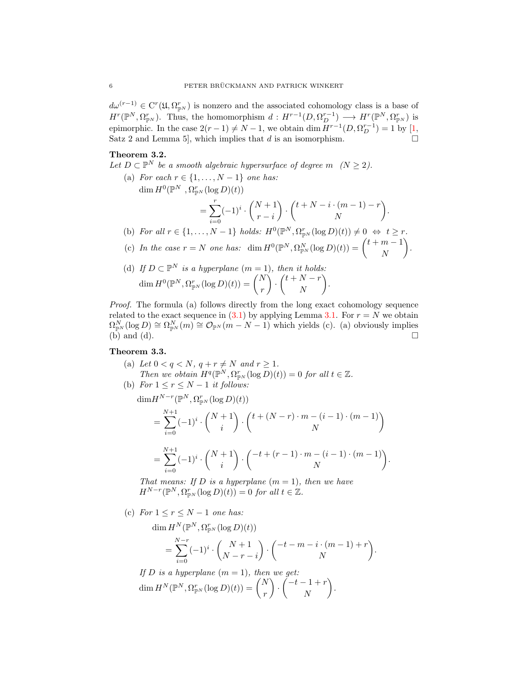$d\omega^{(r-1)} \in C^{r}(\mathfrak{U}, \Omega_{\mathbb{P}^{N}}^{r})$  is nonzero and the associated cohomology class is a base of  $H^r(\mathbb{P}^N, \Omega_{\mathbb{P}^N}^r)$ . Thus, the homomorphism  $d: H^{r-1}(D, \Omega_D^{r-1}) \longrightarrow H^r(\mathbb{P}^N, \Omega_{\mathbb{P}^N}^r)$  is epimorphic. In the case  $2(r-1) \neq N-1$ , we obtain dim  $H^{r-1}(D, \Omega_D^{r-1}) = 1$  by [\[1,](#page-20-6) Satz 2 and Lemma 5, which implies that  $d$  is an isomorphism.

## <span id="page-5-0"></span>Theorem 3.2.

- Let  $D \subset \mathbb{P}^N$  be a smooth algebraic hypersurface of degree m  $(N \geq 2)$ .
	- (a) For each  $r \in \{1, \ldots, N-1\}$  one has: dim  $H^0(\mathbb{P}^N, \Omega^r_{\mathbb{P}^N}(\log D)(t))$  $=\sum_{r=1}^{r}$  $i=0$  $(-1)^i \cdot \binom{N+1}{k}$  $r - i$  $\bigg) \cdot \bigg( t + N - i \cdot (m - 1) - r$ N . (b) For all  $r \in \{1, ..., N-1\}$  holds:  $H^0(\mathbb{P}^N, \Omega_{\mathbb{P}^N}^r(\log D)(t)) \neq 0 \Leftrightarrow t \geq r$ .
	- (c) In the case  $r = N$  one has: dim  $H^0(\mathbb{P}^N, \Omega_{\mathbb{P}^N}^N(\log D)(t)) = \begin{pmatrix} t+m-1 \\ N \end{pmatrix}$ N .
	- (d) If  $D \subset \mathbb{P}^N$  is a hyperplane  $(m = 1)$ , then it holds:  $\dim H^0(\mathbb{P}^N,\Omega_{\mathbb{P}^N}^r(\log D)(t))=\binom{N}{r}$ r ).  $\left(t+N-r\right)$ N .

Proof. The formula (a) follows directly from the long exact cohomology sequence related to the exact sequence in [\(3.1\)](#page-4-1) by applying Lemma [3.1.](#page-4-2) For  $r = N$  we obtain  $\Omega_{\mathbb{P}^N}^N(\log D) \cong \Omega_{\mathbb{P}^N}^N(m) \cong \mathcal{O}_{\mathbb{P}^N}(m-N-1)$  which yields (c). (a) obviously implies  $(b)$  and  $(d)$ .

### <span id="page-5-1"></span>Theorem 3.3.

(a) Let  $0 < q < N$ ,  $q + r \neq N$  and  $r \geq 1$ . Then we obtain  $H^q(\mathbb{P}^N, \Omega_{\mathbb{P}^N}^r(\log D)(t)) = 0$  for all  $t \in \mathbb{Z}$ .

(b) For 
$$
1 \le r \le N - 1
$$
 it follows:

$$
\dim H^{N-r}(\mathbb{P}^N, \Omega_{\mathbb{P}^N}^r(\log D)(t))
$$
\n
$$
= \sum_{i=0}^{N+1} (-1)^i \cdot \binom{N+1}{i} \cdot \binom{t+(N-r)\cdot m-(i-1)\cdot (m-1)}{N}
$$
\n
$$
\frac{N+1}{N} \qquad (N+1) \quad (-t+(r-1)\cdot m-(i-1)\cdot (m-1))
$$

$$
= \sum_{i=0}^{N+1} (-1)^i \cdot \binom{N+1}{i} \cdot \binom{-t + (r-1) \cdot m - (i-1) \cdot (m-1)}{N}
$$

.

That means: If D is a hyperplane  $(m = 1)$ , then we have  $H^{N-r}(\mathbb{P}^N, \Omega_{\mathbb{P}^N}^r(\log D)(t)) = 0$  for all  $t \in \mathbb{Z}$ .

(c) For  $1 \leq r \leq N-1$  one has:

 $\dim H^N(\mathbb{P}^N,\Omega_{\mathbb{P}^N}^r(\log D)(t))$ 

$$
= \sum_{i=0}^{N-r} (-1)^i \cdot \binom{N+1}{N-r-i} \cdot \binom{-t-m-i \cdot (m-1)+r}{N}.
$$

If D is a hyperplane  $(m = 1)$ , then we get:  $\dim H^N(\mathbb{P}^N,\Omega^r_{\mathbb{P}^N}(\log D)(t)) = \binom{N}{r}$ r ).  $\left( \begin{array}{c} -t-1+r \\ y \end{array} \right)$ N .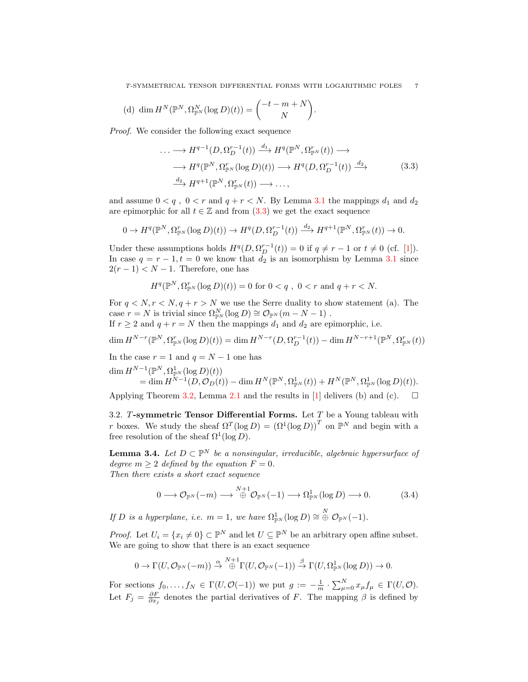(d) 
$$
\dim H^N(\mathbb{P}^N, \Omega^N_{\mathbb{P}^N}(\log D)(t)) = \begin{pmatrix} -t - m + N \\ N \end{pmatrix}.
$$

Proof. We consider the following exact sequence

<span id="page-6-0"></span>
$$
\cdots \longrightarrow H^{q-1}(D, \Omega_D^{r-1}(t)) \xrightarrow{d_1} H^q(\mathbb{P}^N, \Omega_{\mathbb{P}^N}^r(t)) \longrightarrow
$$
  

$$
\longrightarrow H^q(\mathbb{P}^N, \Omega_{\mathbb{P}^N}^r(\log D)(t)) \longrightarrow H^q(D, \Omega_D^{r-1}(t)) \xrightarrow{d_2} \tag{3.3}
$$
  

$$
\xrightarrow{d_2} H^{q+1}(\mathbb{P}^N, \Omega_{\mathbb{P}^N}^r(t)) \longrightarrow \dots,
$$

and assume  $0 < q$ ,  $0 < r$  and  $q + r < N$ . By Lemma [3.1](#page-4-2) the mappings  $d_1$  and  $d_2$ are epimorphic for all  $t \in \mathbb{Z}$  and from [\(3](#page-6-0).3) we get the exact sequence

$$
0 \to H^q(\mathbb{P}^N, \Omega_{\mathbb{P}^N}^r(\log D)(t)) \to H^q(D, \Omega_D^{r-1}(t)) \xrightarrow{d_2} H^{q+1}(\mathbb{P}^N, \Omega_{\mathbb{P}^N}^r(t)) \to 0.
$$

Under these assumptions holds  $H^q(D, \Omega_D^{r-1}(t)) = 0$  if  $q \neq r-1$  or  $t \neq 0$  (cf. [\[1\]](#page-20-6)). In case  $q = r - 1, t = 0$  we know that  $d_2$  is an isomorphism by Lemma [3.1](#page-4-2) since  $2(r-1) < N-1$ . Therefore, one has

$$
H^{q}(\mathbb{P}^{N}, \Omega_{\mathbb{P}^{N}}^{r}(\log D)(t)) = 0 \text{ for } 0 < q, 0 < r \text{ and } q + r < N.
$$

For  $q < N, r < N, q + r > N$  we use the Serre duality to show statement (a). The case  $r = N$  is trivial since  $\Omega_{\mathbb{P}^N}^N(\log D) \cong \mathcal{O}_{\mathbb{P}^N}(m - N - 1)$ .

If  $r \geq 2$  and  $q + r = N$  then the mappings  $d_1$  and  $d_2$  are epimorphic, i.e.

$$
\dim H^{N-r}(\mathbb{P}^N, \Omega_{\mathbb{P}^N}^r(\log D)(t)) = \dim H^{N-r}(D, \Omega_D^{r-1}(t)) - \dim H^{N-r+1}(\mathbb{P}^N, \Omega_{\mathbb{P}^N}^r(t))
$$

In the case  $r = 1$  and  $q = N - 1$  one has

$$
\dim H^{N-1}(\mathbb{P}^N,\Omega^1_{\mathbb{P}^N}(\log D)(t)) = \dim H^N(\mathbb{P}^N,\Omega^1_{\mathbb{P}^N}(t)) + H^N(\mathbb{P}^N,\Omega^1_{\mathbb{P}^N}(\log D)(t)).
$$

Applying Theorem [3.2,](#page-5-0) Lemma [2.1](#page-2-0) and the results in [\[1\]](#page-20-6) delivers (b) and (c).  $\square$ 

3.2. T-symmetric Tensor Differential Forms. Let  $T$  be a Young tableau with r boxes. We study the sheaf  $\Omega^T(\log D) = (\Omega^1(\log D))^T$  on  $\mathbb{P}^N$  and begin with a free resolution of the sheaf  $\Omega^1(\log D)$ .

<span id="page-6-1"></span>**Lemma 3.4.** Let  $D \subset \mathbb{P}^N$  be a nonsingular, irreducible, algebraic hypersurface of degree  $m \geq 2$  defined by the equation  $F = 0$ . Then there exists a short exact sequence

<span id="page-6-2"></span>
$$
0 \longrightarrow \mathcal{O}_{\mathbb{P}^N}(-m) \longrightarrow \overset{N+1}{\oplus} \mathcal{O}_{\mathbb{P}^N}(-1) \longrightarrow \Omega^1_{\mathbb{P}^N}(\log D) \longrightarrow 0. \tag{3.4}
$$

If D is a hyperplane, i.e.  $m = 1$ , we have  $\Omega_{\mathbb{P}^N}^1(\log D) \cong \bigoplus^N \mathcal{O}_{\mathbb{P}^N}(-1)$ .

*Proof.* Let  $U_i = \{x_i \neq 0\} \subset \mathbb{P}^N$  and let  $U \subseteq \mathbb{P}^N$  be an arbitrary open affine subset. We are going to show that there is an exact sequence

$$
0 \to \Gamma(U, \mathcal{O}_{\mathbb{P}^N}(-m)) \stackrel{\alpha}{\to} \bigoplus^{N+1} \Gamma(U, \mathcal{O}_{\mathbb{P}^N}(-1)) \stackrel{\beta}{\to} \Gamma(U, \Omega^1_{\mathbb{P}^N}(\log D)) \to 0.
$$

For sections  $f_0, \ldots, f_N \in \Gamma(U, \mathcal{O}(-1))$  we put  $g := -\frac{1}{m} \cdot \sum_{\mu=0}^N x_{\mu} f_{\mu} \in \Gamma(U, \mathcal{O})$ . Let  $F_j = \frac{\partial F}{\partial x_j}$  denotes the partial derivatives of F. The mapping  $\beta$  is defined by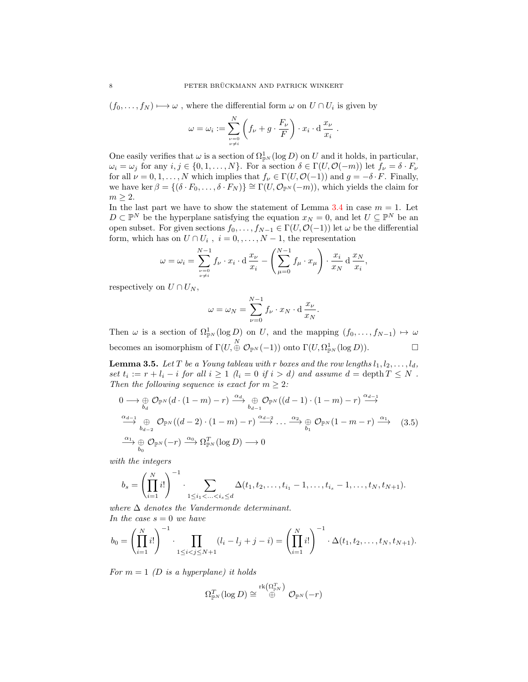$(f_0, \ldots, f_N) \mapsto \omega$ , where the differential form  $\omega$  on  $U \cap U_i$  is given by

$$
\omega = \omega_i := \sum_{\substack{\nu=0 \ \nu \neq i}}^N \left( f_{\nu} + g \cdot \frac{F_{\nu}}{F} \right) \cdot x_i \cdot d \, \frac{x_{\nu}}{x_i} \, .
$$

One easily verifies that  $\omega$  is a section of  $\Omega^1_{\mathbb{P}^N}(\log D)$  on U and it holds, in particular,  $\omega_i = \omega_j$  for any  $i, j \in \{0, 1, ..., N\}$ . For a section  $\delta \in \Gamma(U, \mathcal{O}(-m))$  let  $f_{\nu} = \delta \cdot F_{\nu}$ for all  $\nu = 0, 1, \ldots, N$  which implies that  $f_{\nu} \in \Gamma(U, \mathcal{O}(-1))$  and  $g = -\delta \cdot F$ . Finally, we have ker  $\beta = \{(\delta \cdot F_0, \ldots, \delta \cdot F_N)\} \cong \Gamma(U, \mathcal{O}_{\mathbb{P}^N}(-m))$ , which yields the claim for  $m \geq 2$ .

In the last part we have to show the statement of Lemma [3.4](#page-6-1) in case  $m = 1$ . Let  $D \subset \mathbb{P}^N$  be the hyperplane satisfying the equation  $x_N = 0$ , and let  $U \subseteq \mathbb{P}^N$  be an open subset. For given sections  $f_0, \ldots, f_{N-1} \in \Gamma(U, \mathcal{O}(-1))$  let  $\omega$  be the differential form, which has on  $U \cap U_i$ ,  $i = 0, \ldots, N - 1$ , the representation

$$
\omega = \omega_i = \sum_{\substack{\nu=0 \ \nu \neq i}}^{N-1} f_{\nu} \cdot x_i \cdot d \frac{x_{\nu}}{x_i} - \left(\sum_{\mu=0}^{N-1} f_{\mu} \cdot x_{\mu}\right) \cdot \frac{x_i}{x_N} d \frac{x_N}{x_i},
$$

respectively on  $U \cap U_N$ ,

<span id="page-7-0"></span>
$$
\omega = \omega_N = \sum_{\nu=0}^{N-1} f_{\nu} \cdot x_N \cdot d \frac{x_{\nu}}{x_N}.
$$

Then  $\omega$  is a section of  $\Omega_{\mathbb{P}^N}^1(\log D)$  on U, and the mapping  $(f_0,\ldots,f_{N-1}) \mapsto \omega$ becomes an isomorphism of  $\Gamma(U, \overset{N}{\oplus} \mathcal{O}_{\mathbb{P}^N}(-1))$  onto  $\Gamma(U, \Omega^1_{\mathbb{P}^N}(\log D)).$ 

<span id="page-7-1"></span>**Lemma 3.5.** Let T be a Young tableau with r boxes and the row lengths  $l_1, l_2, \ldots, l_d$ , set  $t_i := r + l_i - i$  for all  $i \geq 1$   $(l_i = 0$  if  $i > d)$  and assume  $d = \text{depth } T \leq N$ . Then the following sequence is exact for  $m \geq 2$ :

$$
0 \longrightarrow \bigoplus_{b_d} \mathcal{O}_{\mathbb{P}^N}(d \cdot (1-m) - r) \xrightarrow{\alpha_d} \bigoplus_{b_{d-1}} \mathcal{O}_{\mathbb{P}^N}((d-1) \cdot (1-m) - r) \xrightarrow{\alpha_{d-1}} \dots \xrightarrow{\alpha_{d-1}} \bigoplus_{b_{d-2}} \mathcal{O}_{\mathbb{P}^N}((d-2) \cdot (1-m) - r) \xrightarrow{\alpha_{d-2}} \dots \xrightarrow{\alpha_2} \bigoplus_{b_1} \mathcal{O}_{\mathbb{P}^N}(1-m-r) \xrightarrow{\alpha_1} \quad (3.5)
$$
  

$$
\xrightarrow{\alpha_1} \bigoplus_{b_0} \mathcal{O}_{\mathbb{P}^N}(-r) \xrightarrow{\alpha_0} \Omega_{\mathbb{P}^N}^T(\log D) \longrightarrow 0
$$

with the integers

$$
b_s = \left(\prod_{i=1}^N i!\right)^{-1} \cdot \sum_{1 \leq i_1 < \ldots < i_s \leq d} \Delta(t_1, t_2, \ldots, t_{i_1} - 1, \ldots, t_{i_s} - 1, \ldots, t_N, t_{N+1}).
$$

where  $\Delta$  denotes the Vandermonde determinant. In the case  $s = 0$  we have

$$
b_0 = \left(\prod_{i=1}^N i!\right)^{-1} \cdot \prod_{1 \le i < j \le N+1} (l_i - l_j + j - i) = \left(\prod_{i=1}^N i!\right)^{-1} \cdot \Delta(t_1, t_2, \dots, t_N, t_{N+1}).
$$

For  $m = 1$  (D is a hyperplane) it holds

$$
\Omega^T_{\mathbb{P}^N}(\log D) \cong \overset{\mathrm{rk}\left(\Omega^T_{\mathbb{P}^N}\right)}{\oplus} \mathcal{O}_{\mathbb{P}^N}(-r)
$$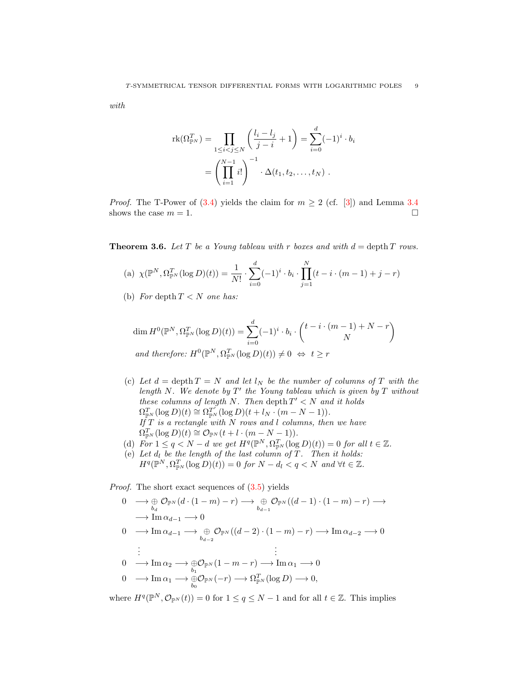with

$$
rk(\Omega_{\mathbb{P}^N}^T) = \prod_{1 \le i < j \le N} \left( \frac{l_i - l_j}{j - i} + 1 \right) = \sum_{i=0}^d (-1)^i \cdot b_i
$$
\n
$$
= \left( \prod_{i=1}^{N-1} i! \right)^{-1} \cdot \Delta(t_1, t_2, \dots, t_N) \ .
$$

*Proof.* The T-Power of (3.[4\)](#page-6-2) yields the claim for  $m \geq 2$  (cf. [\[3\]](#page-20-2)) and Lemma [3.4](#page-6-1) shows the case  $m = 1$ .

<span id="page-8-0"></span>**Theorem 3.6.** Let T be a Young tableau with r boxes and with  $d = \text{depth } T$  rows.

(a) 
$$
\chi(\mathbb{P}^N, \Omega_{\mathbb{P}^N}^T(\log D)(t)) = \frac{1}{N!} \cdot \sum_{i=0}^d (-1)^i \cdot b_i \cdot \prod_{j=1}^N (t - i \cdot (m-1) + j - r)
$$

(b) For depth  $T < N$  one has:

$$
\dim H^0(\mathbb{P}^N, \Omega_{\mathbb{P}^N}^T(\log D)(t)) = \sum_{i=0}^d (-1)^i \cdot b_i \cdot \binom{t - i \cdot (m-1) + N - r}{N}
$$
  
and therefore:  $H^0(\mathbb{P}^N, \Omega_{\mathbb{P}^N}^T(\log D)(t)) \neq 0 \Leftrightarrow t \geq r$ 

- (c) Let  $d = \operatorname{depth} T = N$  and let  $l_N$  be the number of columns of T with the length N. We denote by  $T'$  the Young tableau which is given by  $T$  without these columns of length N. Then depth  $T' < N$  and it holds  $\Omega_{\mathbb{P}^N}^T(\log D)(t) \cong \Omega_{\mathbb{P}^N}^{T'}(\log D)(t + l_N \cdot (m - N - 1)).$ If  $T$  is a rectangle with  $N$  rows and l columns, then we have  $\Omega_{\mathbb{P}^N}^T(\log D)(t) \cong \mathcal{O}_{\mathbb{P}^N}(t+l\cdot (m-N-1)).$
- (d)  $\overline{For} 1 \leq q < N d$  we get  $H^q(\mathbb{P}^N, \Omega_{\mathbb{P}^N}^T(\log D)(t)) = 0$  for all  $t \in \mathbb{Z}$ .
- (e) Let  $d_l$  be the length of the last column of T. Then it holds:  $H^q(\mathbb{P}^N, \Omega_{\mathbb{P}^N}^T(\log D)(t)) = 0$  for  $N - d_l < q < N$  and  $\forall t \in \mathbb{Z}$ .

Proof. The short exact sequences of [\(3.5\)](#page-7-0) yields

$$
0 \longrightarrow \bigoplus_{b_d} \mathcal{O}_{\mathbb{P}^N}(d \cdot (1-m) - r) \longrightarrow \bigoplus_{b_{d-1}} \mathcal{O}_{\mathbb{P}^N}((d-1) \cdot (1-m) - r) \longrightarrow
$$
  
\n
$$
\longrightarrow \operatorname{Im} \alpha_{d-1} \longrightarrow 0
$$
  
\n
$$
0 \longrightarrow \operatorname{Im} \alpha_{d-1} \longrightarrow \bigoplus_{b_{d-2}} \mathcal{O}_{\mathbb{P}^N}((d-2) \cdot (1-m) - r) \longrightarrow \operatorname{Im} \alpha_{d-2} \longrightarrow 0
$$
  
\n
$$
\vdots \qquad \qquad \vdots
$$
  
\n
$$
0 \longrightarrow \operatorname{Im} \alpha_2 \longrightarrow \bigoplus_{b_1} \mathcal{O}_{\mathbb{P}^N}(1-m-r) \longrightarrow \operatorname{Im} \alpha_1 \longrightarrow 0
$$
  
\n
$$
0 \longrightarrow \operatorname{Im} \alpha_1 \longrightarrow \bigoplus_{b_0} \mathcal{O}_{\mathbb{P}^N}(-r) \longrightarrow \Omega_{\mathbb{P}^N}^T(\log D) \longrightarrow 0,
$$

where  $H^q(\mathbb{P}^N, \mathcal{O}_{\mathbb{P}^N}(t)) = 0$  for  $1 \le q \le N-1$  and for all  $t \in \mathbb{Z}$ . This implies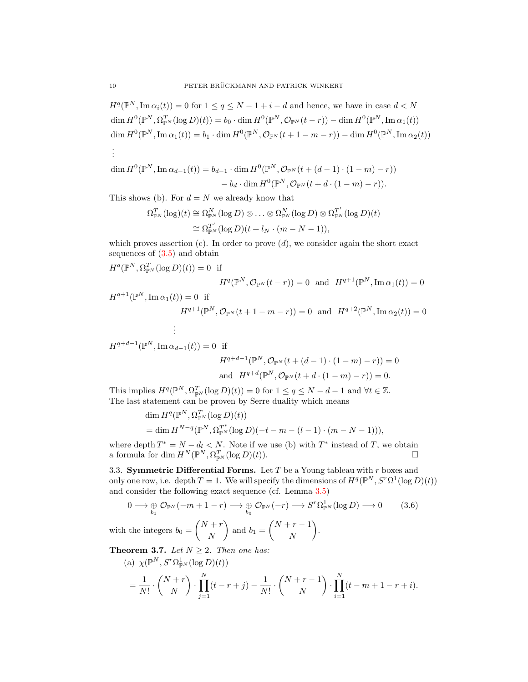$H^q(\mathbb{P}^N, \text{Im } \alpha_i(t)) = 0$  for  $1 \le q \le N - 1 + i - d$  and hence, we have in case  $d < N$  $\dim H^0(\mathbb{P}^N,\Omega^T_{\mathbb{P}^N}(\log D)(t))=b_0\cdot \dim H^0(\mathbb{P}^N,\mathcal{O}_{\mathbb{P}^N}(t-r))-\dim H^0(\mathbb{P}^N,\mathrm{Im}\,\alpha_1(t))$  $\dim H^0(\mathbb{P}^N,\operatorname{Im}\alpha_1(t))=b_1\cdot\dim H^0(\mathbb{P}^N,\mathcal{O}_{\mathbb{P}^N}(t+1-m-r))-\dim H^0(\mathbb{P}^N,\operatorname{Im}\alpha_2(t))$ . . .

$$
\dim H^0(\mathbb{P}^N, \operatorname{Im} \alpha_{d-1}(t)) = b_{d-1} \cdot \dim H^0(\mathbb{P}^N, \mathcal{O}_{\mathbb{P}^N}(t + (d-1) \cdot (1-m) - r))
$$

$$
- b_d \cdot \dim H^0(\mathbb{P}^N, \mathcal{O}_{\mathbb{P}^N}(t + d \cdot (1-m) - r)).
$$

This shows (b). For  $d = N$  we already know that

$$
\Omega_{\mathbb{P}^N}^T(\log)(t) \cong \Omega_{\mathbb{P}^N}^N(\log D) \otimes \ldots \otimes \Omega_{\mathbb{P}^N}^N(\log D) \otimes \Omega_{\mathbb{P}^N}^{T'}(\log D)(t)
$$
  

$$
\cong \Omega_{\mathbb{P}^N}^{T'}(\log D)(t + l_N \cdot (m - N - 1)),
$$

which proves assertion  $(c)$ . In order to prove  $(d)$ , we consider again the short exact sequences of  $(3.5)$  and obtain

 $H^q(\mathbb{P}^N, \Omega_{\mathbb{P}^N}^T(\log D)(t)) = 0$  if

$$
H^q(\mathbb{P}^N, \mathcal{O}_{\mathbb{P}^N}(t-r)) = 0 \text{ and } H^{q+1}(\mathbb{P}^N, \text{Im}\,\alpha_1(t)) = 0
$$

 $H^{q+1}(\mathbb{P}^N, \text{Im}\,\alpha_1(t)) = 0$  if

$$
H^{q+1}(\mathbb{P}^N, \mathcal{O}_{\mathbb{P}^N}(t+1-m-r)) = 0 \text{ and } H^{q+2}(\mathbb{P}^N, \text{Im}\,\alpha_2(t)) = 0
$$
  
 
$$
\vdots
$$

 $H^{q+d-1}(\mathbb{P}^N, \text{Im }\alpha_{d-1}(t)) = 0$  if

<span id="page-9-0"></span>
$$
H^{q+d-1}(\mathbb{P}^N, \mathcal{O}_{\mathbb{P}^N}(t + (d-1) \cdot (1-m) - r)) = 0
$$
  
and 
$$
H^{q+d}(\mathbb{P}^N, \mathcal{O}_{\mathbb{P}^N}(t + d \cdot (1-m) - r)) = 0.
$$

This implies  $H^q(\mathbb{P}^N, \Omega_{\mathbb{P}^N}^T(\log D)(t)) = 0$  for  $1 \le q \le N - d - 1$  and  $\forall t \in \mathbb{Z}$ . The last statement can be proven by Serre duality which means

$$
\dim H^{q}(\mathbb{P}^{N}, \Omega_{\mathbb{P}^{N}}^{T}(\log D)(t))
$$
  
= 
$$
\dim H^{N-q}(\mathbb{P}^{N}, \Omega_{\mathbb{P}^{N}}^{T^{*}}(\log D)(-t-m-(l-1)\cdot(m-N-1))),
$$

where depth  $T^* = N - d_l < N$ . Note if we use (b) with  $T^*$  instead of T, we obtain a formula for dim  $H^N(\mathbb{P}^N, \Omega_{\mathbb{P}^N}^T(\log D)(t)).$ 

3.3. Symmetric Differential Forms. Let  $T$  be a Young tableau with  $r$  boxes and only one row, i.e. depth  $T = 1$ . We will specify the dimensions of  $H^q(\mathbb{P}^N, S^r\Omega^1(\log D)(t))$ and consider the following exact sequence (cf. Lemma [3.5\)](#page-7-1)

$$
0 \longrightarrow \bigoplus_{b_1} \mathcal{O}_{\mathbb{P}^N}(-m+1-r) \longrightarrow \bigoplus_{b_0} \mathcal{O}_{\mathbb{P}^N}(-r) \longrightarrow S^r \Omega^1_{\mathbb{P}^N}(\log D) \longrightarrow 0 \qquad (3.6)
$$

with the integers  $b_0 = \begin{pmatrix} N+r \\ N \end{pmatrix}$ N ) and  $b_1 = \begin{pmatrix} N+r-1 \\ N \end{pmatrix}$ N .

<span id="page-9-1"></span>**Theorem 3.7.** Let  $N \geq 2$ . Then one has:

(a) 
$$
\chi(\mathbb{P}^N, S^r \Omega_{\mathbb{P}^N}^1(\log D)(t))
$$
  
=  $\frac{1}{N!} \cdot {N+r \choose N} \cdot \prod_{j=1}^N (t-r+j) - \frac{1}{N!} \cdot {N+r-1 \choose N} \cdot \prod_{i=1}^N (t-m+1-r+i).$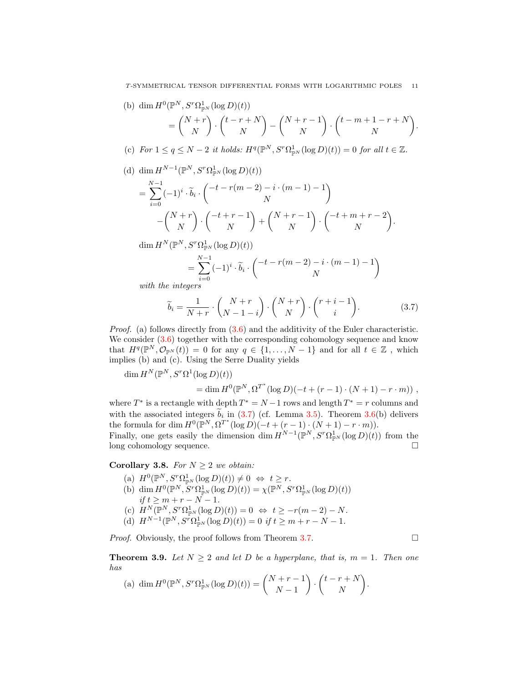(b) dim  $H^0(\mathbb{P}^N, S^r \Omega^1_{\mathbb{P}^N}(\log D)(t))$  $=\binom{N+r}{N}$ N ).  $\int_0^t \frac{r}{N}$ N  $\bigg) - \bigg( \begin{matrix} N+r-1 \\ N \end{matrix}$ N ).  $\binom{t-m+1-r+N}{N}$ N .

(c) For  $1 \le q \le N-2$  it holds:  $H^q(\mathbb{P}^N, S^r\Omega_{\mathbb{P}^N}^1(\log D)(t)) = 0$  for all  $t \in \mathbb{Z}$ .

(d) dim  $H^{N-1}(\mathbb{P}^N, S^r \Omega^1_{\mathbb{P}^N}(\log D)(t))$ 

$$
= \sum_{i=0}^{N-1} (-1)^i \cdot \widetilde{b}_i \cdot \begin{pmatrix} -t - r(m-2) - i \cdot (m-1) - 1 \\ N \end{pmatrix}
$$

$$
- \begin{pmatrix} N+r \\ N \end{pmatrix} \cdot \begin{pmatrix} -t + r - 1 \\ N \end{pmatrix} + \begin{pmatrix} N+r-1 \\ N \end{pmatrix} \cdot \begin{pmatrix} -t + m + r - 2 \\ N \end{pmatrix}.
$$

 $\dim H^N(\mathbb{P}^N, S^r\Omega^1_{\mathbb{P}^N}(\log D)(t))$ 

<span id="page-10-0"></span>
$$
=\sum_{i=0}^{N-1}(-1)^i\cdot\widetilde{b}_i\cdot\begin{pmatrix}-t-r(m-2)-i\cdot(m-1)-1\\N\end{pmatrix}
$$

with the integers

$$
\widetilde{b}_i = \frac{1}{N+r} \cdot \binom{N+r}{N-1-i} \cdot \binom{N+r}{N} \cdot \binom{r+i-1}{i}.
$$
\n(3.7)

*Proof.* (a) follows directly from  $(3.6)$  and the additivity of the Euler characteristic. We consider  $(3.6)$  together with the corresponding cohomology sequence and know that  $H^q(\mathbb{P}^N, \mathcal{O}_{\mathbb{P}^N}(t)) = 0$  for any  $q \in \{1, ..., N-1\}$  and for all  $t \in \mathbb{Z}$ , which implies (b) and (c). Using the Serre Duality yields

dim  $H^N(\mathbb{P}^N, S^r\Omega^1(\log D)(t))$  $= \dim H^0(\mathbb{P}^N, \Omega^{T^*}(\log D)(-t + (r-1) \cdot (N+1) - r \cdot m))$ ,

where  $T^*$  is a rectangle with depth  $T^* = N - 1$  rows and length  $T^* = r$  columns and with the associated integers  $b_i$  in [\(3.7\)](#page-10-0) (cf. Lemma [3.5\)](#page-7-1). Theorem [3.6\(](#page-8-0)b) delivers the formula for dim  $H^0(\mathbb{P}^N, \Omega^{T^*}(\log D)(-t + (r-1) \cdot (N+1) - r \cdot m)).$ Finally, one gets easily the dimension dim  $H^{N-1}(\mathbb{P}^N, S^r \Omega_{\mathbb{P}^N}^1(\log D)(t))$  from the

long cohomology sequence.

# Corollary 3.8. For  $N \geq 2$  we obtain:

- (a)  $H^0(\mathbb{P}^N, S^r\Omega^1_{\mathbb{P}^N}(\log D)(t)) \neq 0 \Leftrightarrow t \geq r.$
- (b) dim  $H^0(\mathbb{P}^N, S^r \Omega_{\mathbb{P}^N}^1(\log D)(t)) = \chi(\mathbb{P}^N, S^r \Omega_{\mathbb{P}^N}^1(\log D)(t))$ if  $t \ge m + r - N - 1$ . (c)  $H^N(\mathbb{P}^N, S^r \Omega_{\mathbb{P}^N}^1(\log D)(t)) = 0 \Leftrightarrow t \geq -r(m-2) - N.$
- (d)  $H^{N-1}(\mathbb{P}^N, S^{\bar{r}} \Omega^1_{\mathbb{P}^N}(\log D)(t)) = 0$  if  $t \ge m + r N 1$ .

*Proof.* Obviously, the proof follows from Theorem [3.7.](#page-9-1)  $\Box$ 

**Theorem 3.9.** Let  $N \geq 2$  and let D be a hyperplane, that is,  $m = 1$ . Then one has  $\sim 10^{-1}$ 

(a) 
$$
\dim H^0(\mathbb{P}^N, S^r \Omega_{\mathbb{P}^N}^1(\log D)(t)) = \binom{N+r-1}{N-1} \cdot \binom{t-r+N}{N}.
$$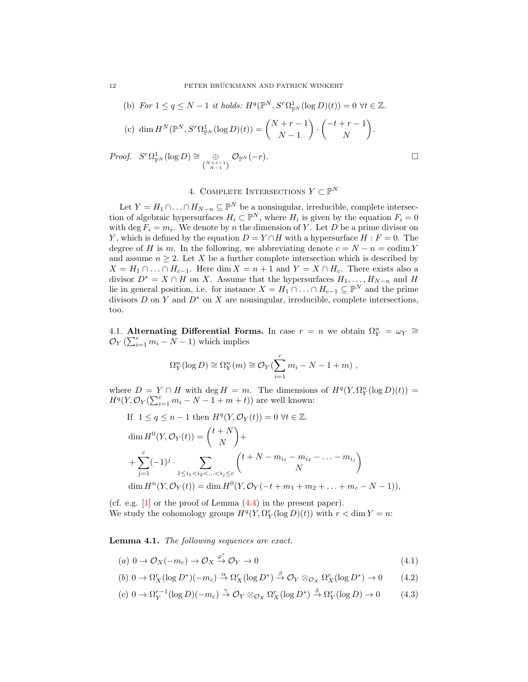\n- (b) For 
$$
1 \leq q \leq N-1
$$
 it holds:  $H^q(\mathbb{P}^N, S^r \Omega_{\mathbb{P}^N}^1(\log D)(t)) = 0 \ \forall t \in \mathbb{Z}$ .
\n- (c)  $\dim H^N(\mathbb{P}^N, S^r \Omega_{\mathbb{P}^N}^1(\log D)(t)) = \binom{N+r-1}{N-1} \cdot \binom{-t+r-1}{N}.$
\n- oof.  $S^r \Omega_{\mathbb{P}^N}^1(\log D) \cong \oplus \mathcal{O}_{\mathbb{P}^N}(-r).$

*Proof.*  $S^r \Omega^1_{\mathbb{P}^N}(\log D) \cong \mathbb{P}$  $\binom{N+r-1}{N-1}$ 

# 4. COMPLETE INTERSECTIONS  $Y \subset \mathbb{P}^N$

Let  $Y = H_1 \cap \ldots \cap H_{N-n} \subseteq \mathbb{P}^N$  be a nonsingular, irreducible, complete intersection of algebraic hypersurfaces  $H_i \subset \mathbb{P}^N$ , where  $H_i$  is given by the equation  $F_i = 0$ with deg  $F_i = m_i$ . We denote by n the dimension of Y. Let D be a prime divisor on Y, which is defined by the equation  $D = Y \cap H$  with a hypersurface  $H : F = 0$ . The degree of H is m. In the following, we abbreviating denote  $c = N - n = \text{codim } Y$ and assume  $n \geq 2$ . Let X be a further complete intersection which is described by  $X = H_1 \cap ... \cap H_{c-1}$ . Here dim  $X = n + 1$  and  $Y = X \cap H_c$ . There exists also a divisor  $D^* = X \cap H$  on X. Assume that the hypersurfaces  $H_1, \ldots, H_{N-n}$  and H lie in general position, i.e. for instance  $X = H_1 \cap \ldots \cap H_{c-1} \subseteq \mathbb{P}^N$  and the prime divisors  $D$  on  $Y$  and  $D^*$  on  $X$  are nonsingular, irreducible, complete intersections, too.

4.1. Alternating Differential Forms. In case  $r = n$  we obtain  $\Omega_Y^n = \omega_Y \cong$  $\mathcal{O}_Y(\sum_{i=1}^c m_i - N - 1)$  which implies

$$
\Omega_Y^n(\log D) \cong \Omega_Y^n(m) \cong \mathcal{O}_Y(\sum_{i=1}^c m_i - N - 1 + m),
$$

where  $D = Y \cap H$  with deg  $H = m$ . The dimensions of  $H<sup>q</sup>(Y, \Omega_Y^n(\log D)(t)) =$  $H^q(Y, \mathcal{O}_Y(\sum_{i=1}^c m_i - N - 1 + m + t))$  are well known:

If 
$$
1 \le q \le n - 1
$$
 then  $H^{q}(Y, \mathcal{O}_{Y}(t)) = 0 \ \forall t \in \mathbb{Z}$ .  
\n
$$
\dim H^{0}(Y, \mathcal{O}_{Y}(t)) = {t + N \choose N} + \sum_{j=1}^{c} (-1)^{j} \cdot \sum_{1 \le i_{1} < i_{2} < ... < i_{j} \le c} {t + N - m_{i_{1}} - m_{i_{2}} - ... - m_{i_{j}} \choose N}
$$
\n
$$
\dim H^{n}(Y, \mathcal{O}_{Y}(t)) = \dim H^{0}(Y, \mathcal{O}_{Y}(-t + m_{1} + m_{2} + ... + m_{c} - N - 1)),
$$

(cf. e.g. [\[1\]](#page-20-6) or the proof of Lemma [\(4.4\)](#page-16-0) in the present paper). We study the cohomology groups  $H^q(Y, \Omega_Y^r(\log D)(t))$  with  $r < \dim Y = n$ :

Lemma 4.1. The following sequences are exact.

<span id="page-11-1"></span><span id="page-11-0"></span>
$$
(a) \ 0 \to \mathcal{O}_X(-m_c) \to \mathcal{O}_X \xrightarrow{\varphi^*} \mathcal{O}_Y \to 0 \tag{4.1}
$$

<span id="page-11-2"></span>
$$
(b) \ 0 \to \Omega_X^r(\log D^*)(-m_c) \stackrel{\alpha}{\to} \Omega_X^r(\log D^*) \stackrel{\beta}{\to} \mathcal{O}_Y \otimes_{\mathcal{O}_X} \Omega_X^r(\log D^*) \to 0 \tag{4.2}
$$

$$
(c)\ 0 \to \Omega_Y^{r-1}(\log D)(-m_c) \stackrel{\gamma}{\to} \mathcal{O}_Y \otimes_{\mathcal{O}_X} \Omega_X^r(\log D^*) \stackrel{\delta}{\to} \Omega_Y^r(\log D) \to 0 \tag{4.3}
$$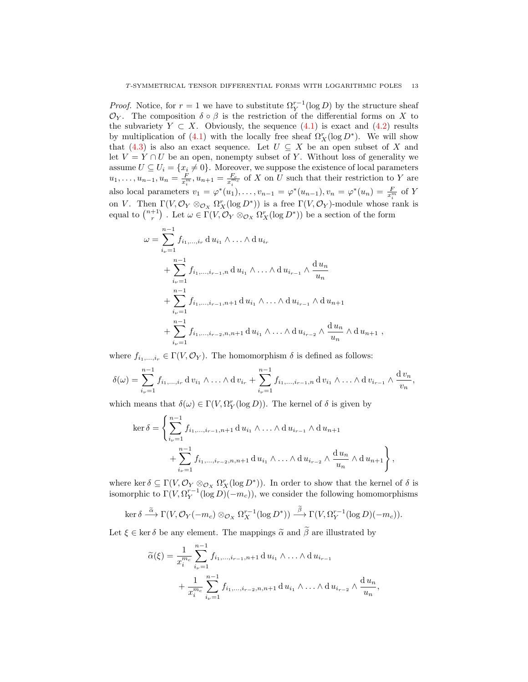*Proof.* Notice, for  $r = 1$  we have to substitute  $\Omega_Y^{r-1}(\log D)$  by the structure sheaf  $\mathcal{O}_Y$ . The composition  $\delta \circ \beta$  is the restriction of the differential forms on X to the subvariety  $Y \subset X$ . Obviously, the sequence [\(4](#page-11-0).1) is exact and (4.[2\)](#page-11-1) results by multiplication of (4.[1\)](#page-11-0) with the locally free sheaf  $\Omega_X^r(\log D^*)$ . We will show that [\(4](#page-11-2).3) is also an exact sequence. Let  $U \subseteq X$  be an open subset of X and let  $V = Y \cap U$  be an open, nonempty subset of Y. Without loss of generality we assume  $U \subseteq U_i = \{x_i \neq 0\}$ . Moreover, we suppose the existence of local parameters  $u_1, \ldots, u_{n-1}, u_n = \frac{F}{x_i^m}$ ,  $u_{n+1} = \frac{F_c}{x_i^{m_c}}$  of X on U such that their restriction to Y are also local parameters  $v_1 = \varphi^*(u_1), \ldots, v_{n-1} = \varphi^*(u_{n-1}), v_n = \varphi^*(u_n) = \frac{F}{x_i^m}$  of Y on V. Then  $\Gamma(V, \mathcal{O}_Y \otimes_{\mathcal{O}_X} \Omega_X^r(\log D^*))$  is a free  $\Gamma(V, \mathcal{O}_Y)$ -module whose rank is equal to  $\binom{n+1}{r}$ . Let  $\omega \in \Gamma(V, \mathcal{O}_Y \otimes_{\mathcal{O}_X} \Omega_X^r(\log D^*))$  be a section of the form

$$
\omega = \sum_{i_{\nu}=1}^{n-1} f_{i_1,\dots,i_r} \, d u_{i_1} \wedge \dots \wedge d u_{i_r} \n+ \sum_{i_{\nu}=1}^{n-1} f_{i_1,\dots,i_{r-1},n} \, d u_{i_1} \wedge \dots \wedge d u_{i_{r-1}} \wedge \frac{d u_n}{u_n} \n+ \sum_{i_{\nu}=1}^{n-1} f_{i_1,\dots,i_{r-1},n+1} \, d u_{i_1} \wedge \dots \wedge d u_{i_{r-1}} \wedge d u_{n+1} \n+ \sum_{i_{\nu}=1}^{n-1} f_{i_1,\dots,i_{r-2},n,n+1} \, d u_{i_1} \wedge \dots \wedge d u_{i_{r-2}} \wedge \frac{d u_n}{u_n} \wedge d u_{n+1} ,
$$

where  $f_{i_1,\ldots,i_r} \in \Gamma(V, \mathcal{O}_Y)$ . The homomorphism  $\delta$  is defined as follows:

$$
\delta(\omega) = \sum_{i_{\nu}=1}^{n-1} f_{i_1,...,i_r} \, \mathrm{d} \, v_{i_1} \wedge \ldots \wedge \mathrm{d} \, v_{i_r} + \sum_{i_{\nu}=1}^{n-1} f_{i_1,...,i_{r-1},n} \, \mathrm{d} \, v_{i_1} \wedge \ldots \wedge \mathrm{d} \, v_{i_{r-1}} \wedge \frac{\mathrm{d} \, v_n}{v_n},
$$

which means that  $\delta(\omega) \in \Gamma(V, \Omega_Y^r(\log D))$ . The kernel of  $\delta$  is given by

$$
\ker \delta = \left\{ \sum_{i_{\nu}=1}^{n-1} f_{i_1, ..., i_{r-1}, n+1} du_{i_1} \wedge ... \wedge du_{i_{r-1}} \wedge du_{i_{r+1}} + \sum_{i_{\nu}=1}^{n-1} f_{i_1, ..., i_{r-2}, n, n+1} du_{i_1} \wedge ... \wedge du_{i_{r-2}} \wedge \frac{du_n}{u_n} \wedge du_{n+1} \right\},\,
$$

where ker  $\delta \subseteq \Gamma(V, \mathcal{O}_Y \otimes_{\mathcal{O}_X} \Omega_X^r(\log D^*))$ . In order to show that the kernel of  $\delta$  is isomorphic to  $\Gamma(V, \Omega_Y^{r-1}(\log D))(-m_c)$ , we consider the following homomorphisms

$$
\ker \delta \stackrel{\widetilde{\alpha}}{\longrightarrow} \Gamma(V, \mathcal{O}_Y(-m_c) \otimes_{\mathcal{O}_X} \Omega_X^{r-1}(\log D^*)) \stackrel{\widetilde{\beta}}{\longrightarrow} \Gamma(V, \Omega_Y^{r-1}(\log D)(-m_c)).
$$

Let  $\xi \in \text{ker } \delta$  be any element. The mappings  $\tilde{\alpha}$  and  $\tilde{\beta}$  are illustrated by

$$
\widetilde{\alpha}(\xi) = \frac{1}{x_i^{m_c}} \sum_{i_{\nu}=1}^{n-1} f_{i_1, \dots, i_{r-1}, n+1} \, \mathrm{d} \, u_{i_1} \wedge \dots \wedge \mathrm{d} \, u_{i_{r-1}} + \frac{1}{x_i^{m_c}} \sum_{i_{\nu}=1}^{n-1} f_{i_1, \dots, i_{r-2}, n, n+1} \, \mathrm{d} \, u_{i_1} \wedge \dots \wedge \mathrm{d} \, u_{i_{r-2}} \wedge \frac{\mathrm{d} \, u_n}{u_n},
$$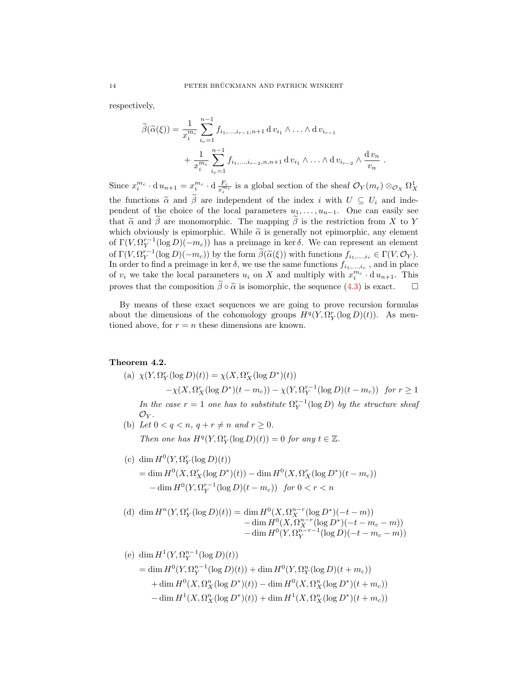respectively,

$$
\widetilde{\beta}(\widetilde{\alpha}(\xi)) = \frac{1}{x_i^{m_c}} \sum_{i_{\nu}=1}^{n-1} f_{i_1, \dots, i_{r-1}, n+1} \, \mathrm{d} \, v_{i_1} \wedge \dots \wedge \mathrm{d} \, v_{i_{r-1}} + \frac{1}{x_i^{m_c}} \sum_{i_{\nu}=1}^{n-1} f_{i_1, \dots, i_{r-2}, n, n+1} \, \mathrm{d} \, v_{i_1} \wedge \dots \wedge \mathrm{d} \, v_{i_{r-2}} \wedge \frac{\mathrm{d} \, v_n}{v_n}
$$

.

Since  $x_i^{m_c} \cdot d u_{n+1} = x_i^{m_c} \cdot d \frac{F_c}{x_i^{m_c}}$  is a global section of the sheaf  $\mathcal{O}_Y(m_c) \otimes_{\mathcal{O}_X} \Omega_X^1$ the functions  $\tilde{\alpha}$  and  $\tilde{\beta}$  are independent of the index i with  $U \subseteq U_i$  and independent of the choice of the local parameters  $u_1, \ldots, u_{n-1}$ . One can easily see that  $\tilde{\alpha}$  and  $\beta$  are monomorphic. The mapping  $\beta$  is the restriction from X to Y which obviously is epimorphic. While  $\tilde{\alpha}$  is generally not epimorphic, any element of  $\Gamma(V, \Omega_Y^{r-1}(\log D)(-m_c))$  has a preimage in ker  $\delta$ . We can represent an element of  $\Gamma(V, \Omega_Y^{r-1}(\log D)(-m_c))$  by the form  $\widetilde{\beta}(\widetilde{\alpha}(\xi))$  with functions  $f_{i_1,\dots,i_r} \in \Gamma(V, \mathcal{O}_Y)$ .<br>In order to find a projmage in leg  $\widetilde{\delta}$ , we use the same functions  $f_{i_1,\dots,i_r}$  and in place In order to find a preimage in ker  $\delta$ , we use the same functions  $f_{i_1,\dots,i_r}$ , and in place of  $v_i$  we take the local parameters  $u_i$  on X and multiply with  $x_i^{m_c} \cdot d u_{n+1}$ . This proves that the composition  $\tilde{\beta} \circ \tilde{\alpha}$  is isomorphic, the sequence [\(4](#page-11-2).3) is exact.  $\square$ 

By means of these exact sequences we are going to prove recursion formulas about the dimensions of the cohomology groups  $H^q(Y, \Omega_Y^r(\log D)(t))$ . As mentioned above, for  $r = n$  these dimensions are known.

### Theorem 4.2.

(a) 
$$
\chi(Y, \Omega_Y^r(\log D)(t)) = \chi(X, \Omega_X^r(\log D^*)(t))
$$
  
\t $-\chi(X, \Omega_X^r(\log D^*)(t-m_c)) - \chi(Y, \Omega_Y^{r-1}(\log D)(t-m_c))$  for  $r \ge 1$   
In the case  $r = 1$  one has to substitute  $\Omega_Y^{r-1}(\log D)$  by the structure sheaf  
\t $\mathcal{O}_Y$ .

- (b) Let  $0 < q < n$ ,  $q + r \neq n$  and  $r > 0$ . Then one has  $H^q(Y, \Omega_Y^r(\log D)(t)) = 0$  for any  $t \in \mathbb{Z}$ .
- (c) dim  $H^0(Y, \Omega_Y^r(\log D)(t))$  $= \dim H^0(X, \Omega^r_X(\log D^*)(t)) - \dim H^0(X, \Omega^r_X(\log D^*)(t - m_c))$  $-\dim H^0(Y, \Omega_Y^{r-1}(\log D)(t - m_c))$  for  $0 < r < n$

(d) 
$$
\dim H^{n}(Y, \Omega_{Y}^{r}(\log D)(t)) = \dim H^{0}(X, \Omega_{X}^{n-r}(\log D^{*})(-t-m)) - \dim H^{0}(X, \Omega_{X}^{n-r}(\log D^{*})(-t-m_{c}-m)) - \dim H^{0}(Y, \Omega_{Y}^{n-r-1}(\log D)(-t-m_{c}-m))
$$

(e) 
$$
\dim H^1(Y, \Omega_Y^{n-1}(\log D)(t))
$$
  
\n $= \dim H^0(Y, \Omega_Y^{n-1}(\log D)(t)) + \dim H^0(Y, \Omega_Y^n(\log D)(t + m_c))$   
\n $+ \dim H^0(X, \Omega_X^n(\log D^*)(t)) - \dim H^0(X, \Omega_X^n(\log D^*)(t + m_c))$   
\n $- \dim H^1(X, \Omega_X^n(\log D^*)(t)) + \dim H^1(X, \Omega_X^n(\log D^*)(t + m_c))$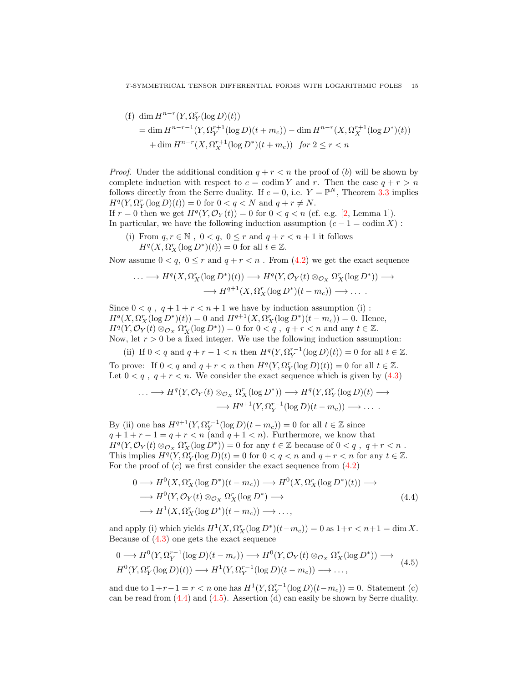(f) 
$$
\dim H^{n-r}(Y, \Omega_Y^r(\log D)(t))
$$
  
=  $\dim H^{n-r-1}(Y, \Omega_Y^{r+1}(\log D)(t + m_c)) - \dim H^{n-r}(X, \Omega_X^{r+1}(\log D^*)(t))$   
+  $\dim H^{n-r}(X, \Omega_X^{r+1}(\log D^*)(t + m_c))$  for  $2 \le r < n$ 

*Proof.* Under the additional condition  $q + r < n$  the proof of (b) will be shown by complete induction with respect to  $c = \text{codim } Y$  and r. Then the case  $q + r > n$ follows directly from the Serre duality. If  $c = 0$ , i.e.  $Y = \mathbb{P}^N$ , Theorem [3.3](#page-5-1) implies  $H^{q}(Y, \Omega_{Y}^{r}(\log D)(t)) = 0$  for  $0 < q < N$  and  $q + r \neq N$ .

If  $r = 0$  then we get  $H^q(Y, \mathcal{O}_Y(t)) = 0$  for  $0 < q < n$  (cf. e.g. [\[2,](#page-20-7) Lemma 1]). In particular, we have the following induction assumption  $(c - 1 = \text{codim } X)$ :

(i) From  $q, r \in \mathbb{N}$ ,  $0 < q$ ,  $0 \le r$  and  $q + r < n + 1$  it follows  $H^q(X, \Omega_X^r(\log D^*)(t)) = 0$  for all  $t \in \mathbb{Z}$ .

Now assume  $0 < q$ ,  $0 \le r$  and  $q + r < n$ . From  $(4.2)$  $(4.2)$  we get the exact sequence

$$
\cdots \longrightarrow H^q(X, \Omega_X^r(\log D^*)(t)) \longrightarrow H^q(Y, \mathcal{O}_Y(t) \otimes_{\mathcal{O}_X} \Omega_X^r(\log D^*)) \longrightarrow
$$
  

$$
\longrightarrow H^{q+1}(X, \Omega_X^r(\log D^*)(t - m_c)) \longrightarrow \cdots
$$

Since  $0 < q$ ,  $q + 1 + r < n + 1$  we have by induction assumption (i):  $H^q(X, \Omega_X^n(\log D^*)(t)) = 0$  and  $H^{q+1}(X, \Omega_X^n(\log D^*)(t - m_c)) = 0$ . Hence,  $H^q(Y, \mathcal{O}_Y)(t) \otimes_{\mathcal{O}_X} \Omega_X^r(\log D^*)) = 0$  for  $0 < q$ ,  $q + r < n$  and any  $t \in \mathbb{Z}$ . Now, let  $r > 0$  be a fixed integer. We use the following induction assumption:

(ii) If  $0 < q$  and  $q + r - 1 < n$  then  $H<sup>q</sup>(Y, \Omega_Y^{r-1}(\log D)(t)) = 0$  for all  $t \in \mathbb{Z}$ . To prove: If  $0 < q$  and  $q + r < n$  then  $H<sup>q</sup>(Y, \Omega_Y^r(\log D)(t)) = 0$  for all  $t \in \mathbb{Z}$ . Let  $0 < q$ ,  $q + r < n$ . We consider the exact sequence which is given by  $(4.3)$  $(4.3)$ 

$$
\cdots \longrightarrow H^q(Y, \mathcal{O}_Y(t) \otimes_{\mathcal{O}_X} \Omega_X^r(\log D^*)) \longrightarrow H^q(Y, \Omega_Y^r(\log D)(t) \longrightarrow
$$
  

$$
\longrightarrow H^{q+1}(Y, \Omega_Y^{r-1}(\log D)(t - m_c)) \longrightarrow \dots
$$

By (ii) one has  $H^{q+1}(Y, \Omega_Y^{r-1}(\log D)(t - m_c)) = 0$  for all  $t \in \mathbb{Z}$  since  $q + 1 + r - 1 = q + r < n$  (and  $q + 1 < n$ ). Furthermore, we know that  $H^q(Y, \mathcal{O}_Y(t) \otimes_{\mathcal{O}_X} \Omega_X^r(\log \tilde{D}^*)) = 0$  for any  $t \in \mathbb{Z}$  because of  $0 < q$ ,  $q + r < n$ . This implies  $H^q(Y, \Omega_Y^r(\log D))(t) = 0$  for  $0 < q < n$  and  $q + r < n$  for any  $t \in \mathbb{Z}$ . For the proof of  $(c)$  we first consider the exact sequence from  $(4.2)$  $(4.2)$ 

<span id="page-14-0"></span>
$$
0 \longrightarrow H^{0}(X, \Omega_{X}^{r}(\log D^{*})(t - m_{c})) \longrightarrow H^{0}(X, \Omega_{X}^{r}(\log D^{*})(t)) \longrightarrow
$$
  
\n
$$
\longrightarrow H^{0}(Y, \mathcal{O}_{Y}(t) \otimes_{\mathcal{O}_{X}} \Omega_{X}^{r}(\log D^{*}) \longrightarrow
$$
  
\n
$$
\longrightarrow H^{1}(X, \Omega_{X}^{r}(\log D^{*})(t - m_{c})) \longrightarrow ... ,
$$
\n(4.4)

and apply (i) which yields  $H^1(X, \Omega_X^r(\log D^*)(t-m_c)) = 0$  as  $1+r < n+1 = \dim X$ . Because of  $(4.3)$  $(4.3)$  one gets the exact sequence

<span id="page-14-1"></span>
$$
0 \longrightarrow H^{0}(Y, \Omega_{Y}^{r-1}(\log D)(t - m_{c})) \longrightarrow H^{0}(Y, \mathcal{O}_{Y}(t) \otimes_{\mathcal{O}_{X}} \Omega_{X}^{r}(\log D^{*})) \longrightarrow
$$
  

$$
H^{0}(Y, \Omega_{Y}^{r}(\log D)(t)) \longrightarrow H^{1}(Y, \Omega_{Y}^{r-1}(\log D)(t - m_{c})) \longrightarrow \dots,
$$
 (4.5)

and due to  $1+r-1 = r < n$  one has  $H^1(Y, \Omega_Y^{r-1}(\log D)(t-m_c)) = 0$ . Statement (c) can be read from [\(4.4\)](#page-14-0) and [\(4.5\)](#page-14-1). Assertion (d) can easily be shown by Serre duality.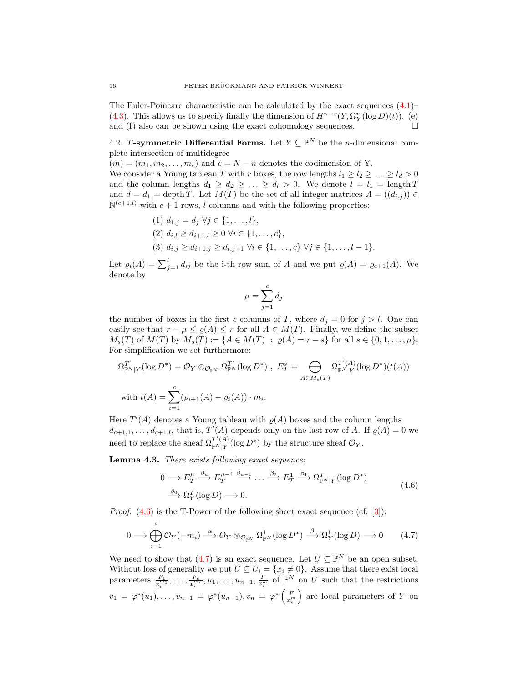The Euler-Poincare characteristic can be calculated by the exact sequences  $(4.1)$ – [\(4.3\)](#page-11-2). This allows us to specify finally the dimension of  $H^{n-r}(Y, \Omega_Y^r(\log D)(t))$ . (e) and (f) also can be shown using the exact cohomology sequences.  $\Box$ 

4.2. T-symmetric Differential Forms. Let  $Y \subseteq \mathbb{P}^N$  be the *n*-dimensional complete intersection of multidegree

 $(m) = (m_1, m_2, \ldots, m_c)$  and  $c = N - n$  denotes the codimension of Y. We consider a Young tableau T with r boxes, the row lengths  $l_1 \geq l_2 \geq \ldots \geq l_d > 0$ and the column lengths  $d_1 \geq d_2 \geq \ldots \geq d_l > 0$ . We denote  $l = l_1 = \text{length } T$ and  $d = d_1 = \operatorname{depth} T$ . Let  $M(T)$  be the set of all integer matrices  $A = ((d_{i,j})) \in$  $\mathbb{N}^{(c+1,l)}$  with  $c+1$  rows, l columns and with the following properties:

$$
(1) \ d_{1,j} = d_j \ \forall j \in \{1, ..., l\},
$$
  
\n
$$
(2) \ d_{i,l} \geq d_{i+1,l} \geq 0 \ \forall i \in \{1, ..., c\},
$$
  
\n
$$
(3) \ d_{i,j} \geq d_{i+1,j} \geq d_{i,j+1} \ \forall i \in \{1, ..., c\} \ \forall j \in \{1, ..., l-1\}.
$$

Let  $\varrho_i(A) = \sum_{j=1}^l d_{ij}$  be the i-th row sum of A and we put  $\varrho(A) = \varrho_{c+1}(A)$ . We denote by

$$
\mu = \sum_{j=1}^{c} d_j
$$

the number of boxes in the first c columns of T, where  $d_i = 0$  for  $j > l$ . One can easily see that  $r - \mu \leq \varrho(A) \leq r$  for all  $A \in M(T)$ . Finally, we define the subset  $M_s(T)$  of  $M(T)$  by  $M_s(T) := \{A \in M(T) : \varrho(A) = r - s\}$  for all  $s \in \{0, 1, \ldots, \mu\}.$ For simplification we set furthermore:

$$
\Omega_{\mathbb{P}^N|Y}^{T'}(\log D^*) = \mathcal{O}_Y \otimes_{\mathcal{O}_{\mathbb{P}^N}} \Omega_{\mathbb{P}^N}^{T'}(\log D^*) , E_T^s = \bigoplus_{A \in M_s(T)} \Omega_{\mathbb{P}^N|Y}^{T'(A)}(\log D^*)(t(A))
$$
  
with  $t(A) = \sum_{i=1}^c (\varrho_{i+1}(A) - \varrho_i(A)) \cdot m_i$ .

Here  $T'(A)$  denotes a Young tableau with  $\rho(A)$  boxes and the column lengths  $d_{c+1,1}, \ldots, d_{c+1,l}$ , that is,  $T'(A)$  depends only on the last row of A. If  $\varrho(A) = 0$  we need to replace the sheaf  $\Omega_{\mathbb{P}^N|Y}^{T'(A)}(\log D^*)$  by the structure sheaf  $\mathcal{O}_Y$ .

<span id="page-15-0"></span>Lemma 4.3. There exists following exact sequence:

<span id="page-15-1"></span>
$$
0 \longrightarrow E_T^{\mu} \xrightarrow{\beta_{\mu}} E_T^{\mu-1} \xrightarrow{\beta_{\mu-1}} \dots \xrightarrow{\beta_2} E_T^1 \xrightarrow{\beta_1} \Omega_{\mathbb{P}^N|Y}^T (\log D^*)
$$
  
\n
$$
\xrightarrow{\beta_0} \Omega_Y^T (\log D) \longrightarrow 0.
$$
\n(4.6)

*Proof.*  $(4.6)$  is the T-Power of the following short exact sequence (cf. [\[3\]](#page-20-2)):

$$
0 \longrightarrow \bigoplus_{i=1}^{c} \mathcal{O}_Y(-m_i) \stackrel{\alpha}{\longrightarrow} O_Y \otimes_{\mathcal{O}_{\mathbb{P}^N}} \Omega^1_{\mathbb{P}^N}(\log D^*) \stackrel{\beta}{\longrightarrow} \Omega^1_Y(\log D) \longrightarrow 0 \qquad (4.7)
$$

We need to show that [\(4.7\)](#page-15-1) is an exact sequence. Let  $U \subseteq \mathbb{P}^N$  be an open subset. Without loss of generality we put  $U \subseteq U_i = \{x_i \neq 0\}$ . Assume that there exist local parameters  $\frac{F_1}{x_i^{m_1}}, \ldots, \frac{F_c}{x_i^{m_c}}, u_1, \ldots, u_{n-1}, \frac{F}{x_i^{m}}$  of  $\mathbb{P}^N$  on U such that the restrictions  $v_1 = \varphi^*(u_1), \ldots, v_{n-1} = \varphi^*(u_{n-1}), v_n = \varphi^*\left(\frac{F}{x_i^m}\right)$ ) are local parameters of  $Y$  on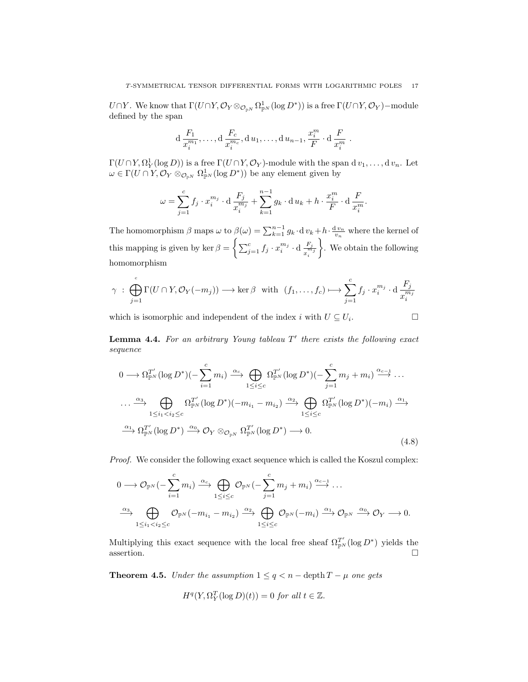$U \cap Y$ . We know that  $\Gamma(U \cap Y, \mathcal{O}_Y \otimes_{\mathcal{O}_{pN}} \Omega^1_{\mathbb{P}^N}(\log D^*))$  is a free  $\Gamma(U \cap Y, \mathcal{O}_Y)$ -module defined by the span

$$
d \frac{F_1}{x_i^{m_1}}, \ldots, d \frac{F_c}{x_i^{m_c}}, d u_1, \ldots, d u_{n-1}, \frac{x_i^m}{F} \cdot d \frac{F}{x_i^m} .
$$

 $\Gamma(U \cap Y, \Omega_Y^1(\log D))$  is a free  $\Gamma(U \cap Y, \mathcal{O}_Y)$ -module with the span d  $v_1, \ldots, v_n$ . Let  $\omega \in \Gamma(U \cap Y, \mathcal{O}_Y \otimes_{\mathcal{O}_{\mathbb{P}^N}} \Omega^1_{\mathbb{P}^N}(\log D^*))$  be any element given by

$$
\omega = \sum_{j=1}^{c} f_j \cdot x_i^{m_j} \cdot d \frac{F_j}{x_i^{m_j}} + \sum_{k=1}^{n-1} g_k \cdot d u_k + h \cdot \frac{x_i^{m}}{F} \cdot d \frac{F}{x_i^{m}}.
$$

The homomorphism  $\beta$  maps  $\omega$  to  $\beta(\omega) = \sum_{k=1}^{n-1} g_k \cdot d v_k + h \cdot \frac{dv_n}{v_n}$  where the kernel of this mapping is given by ker  $\beta = \left\{ \sum_{j=1}^c f_j \cdot x_i^{m_j} \cdot d \frac{F_j}{x_i^m} \right\}$  $\overline{x_i^{m_j}}$  . We obtain the following homomorphism

$$
\gamma \ : \ \bigoplus_{j=1}^{c} \Gamma(U \cap Y, \mathcal{O}_Y(-m_j)) \longrightarrow \ker \beta \ \ \text{with} \ \ (f_1, \dots, f_c) \longmapsto \sum_{j=1}^{c} f_j \cdot x_i^{m_j} \cdot d \frac{F_j}{x_i^{m_j}}
$$

which is isomorphic and independent of the index i with  $U \subseteq U_i$ . . В проста в проста в села в проста в села в села в села в села в села в села в села в села в села в села в се<br>В села в села в села в села в села в села в села в села в села в села в села в села в села в села в села в сел

<span id="page-16-0"></span>**Lemma 4.4.** For an arbitrary Young tableau  $T'$  there exists the following exact sequence

<span id="page-16-1"></span>
$$
0 \longrightarrow \Omega_{\mathbb{P}^N}^{T'}(\log D^*) \left( -\sum_{i=1}^c m_i \right) \xrightarrow{\alpha_c} \bigoplus_{1 \le i \le c} \Omega_{\mathbb{P}^N}^{T'}(\log D^*) \left( -\sum_{j=1}^c m_j + m_i \right) \xrightarrow{\alpha_{c-1}} \dots
$$
  
\n
$$
\cdots \xrightarrow{\alpha_3} \bigoplus_{1 \le i_1 < i_2 \le c} \Omega_{\mathbb{P}^N}^{T'}(\log D^*) \left( -m_{i_1} - m_{i_2} \right) \xrightarrow{\alpha_2} \bigoplus_{1 \le i \le c} \Omega_{\mathbb{P}^N}^{T'}(\log D^*) \left( -m_i \right) \xrightarrow{\alpha_1} \Omega_{\mathbb{P}^N}^{T'}(\log D^*) \xrightarrow{\alpha_0} \mathcal{O}_Y \otimes_{\mathcal{O}_{\mathbb{P}^N}} \Omega_{\mathbb{P}^N}^{T'}(\log D^*) \longrightarrow 0.
$$
\n
$$
(4.8)
$$

Proof. We consider the following exact sequence which is called the Koszul complex:

$$
0 \longrightarrow \mathcal{O}_{\mathbb{P}^N}(-\sum_{i=1}^c m_i) \xrightarrow{\alpha_c} \bigoplus_{1 \leq i \leq c} \mathcal{O}_{\mathbb{P}^N}(-\sum_{j=1}^c m_j + m_i) \xrightarrow{\alpha_{c-1}} \dots
$$
  

$$
\xrightarrow{\alpha_3} \bigoplus_{1 \leq i_1 < i_2 \leq c} \mathcal{O}_{\mathbb{P}^N}(-m_{i_1} - m_{i_2}) \xrightarrow{\alpha_2} \bigoplus_{1 \leq i \leq c} \mathcal{O}_{\mathbb{P}^N}(-m_i) \xrightarrow{\alpha_1} \mathcal{O}_{\mathbb{P}^N} \xrightarrow{\alpha_0} \mathcal{O}_Y \longrightarrow 0.
$$

Multiplying this exact sequence with the local free sheaf  $\Omega_{\mathbb{P}^N}^{T'}(\log D^*)$  yields the assertion.  $\square$ 

<span id="page-16-2"></span>**Theorem 4.5.** Under the assumption  $1 \leq q < n$  – depth  $T - \mu$  one gets

$$
H^{q}(Y,\Omega_Y^T(\log D)(t)) = 0 \text{ for all } t \in \mathbb{Z}.
$$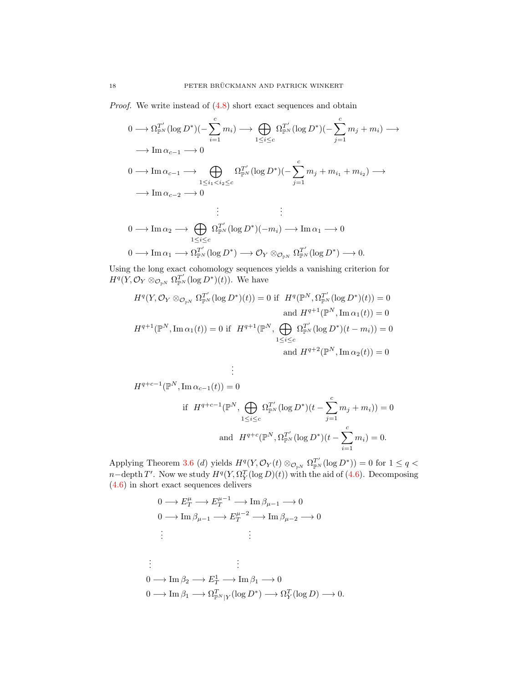Proof. We write instead of (4.[8\)](#page-16-1) short exact sequences and obtain

$$
0 \longrightarrow \Omega_{\mathbb{P}^N}^{T'}(\log D^*)(-\sum_{i=1}^c m_i) \longrightarrow \bigoplus_{1 \le i \le c} \Omega_{\mathbb{P}^N}^{T'}(\log D^*)(-\sum_{j=1}^c m_j + m_i) \longrightarrow
$$
  
\n
$$
\longrightarrow \operatorname{Im} \alpha_{c-1} \longrightarrow 0
$$
  
\n
$$
0 \longrightarrow \operatorname{Im} \alpha_{c-1} \longrightarrow \bigoplus_{1 \le i_1 < i_2 \le c} \Omega_{\mathbb{P}^N}^{T'}(\log D^*)(-\sum_{j=1}^c m_j + m_{i_1} + m_{i_2}) \longrightarrow
$$
  
\n
$$
\longrightarrow \operatorname{Im} \alpha_{c-2} \longrightarrow 0
$$
  
\n
$$
\vdots \qquad \vdots
$$
  
\n
$$
0 \longrightarrow \operatorname{Im} \alpha_2 \longrightarrow \bigoplus_{1 \le i \le c} \Omega_{\mathbb{P}^N}^{T'}(\log D^*)(-m_i) \longrightarrow \operatorname{Im} \alpha_1 \longrightarrow 0
$$
  
\n
$$
\longrightarrow \operatorname{Im} \alpha_1 \longrightarrow \Omega_{\mathbb{P}^N}^{T'}(\log D^*) \longrightarrow \mathcal{O}_Y \otimes_{\mathcal{O}_{\mathbb{P}^N}} \Omega_{\mathbb{P}^N}^{T'}(\log D^*) \longrightarrow 0.
$$

Using the long exact cohomology sequences yields a vanishing criterion for  $H^q(Y, \mathcal{O}_Y \otimes_{\mathcal{O}_{\mathbb{P}^N}} \Omega_{\mathbb{P}^N}^{T'}(\log D^*)(t))$ . We have

$$
H^{q}(Y, \mathcal{O}_{Y} \otimes_{\mathcal{O}_{\mathbb{P}^{N}}} \Omega_{\mathbb{P}^{N}}^{T'}(\log D^{*})(t)) = 0 \text{ if } H^{q}(\mathbb{P}^{N}, \Omega_{\mathbb{P}^{N}}^{T'}(\log D^{*})(t)) = 0
$$
  
and 
$$
H^{q+1}(\mathbb{P}^{N}, \operatorname{Im} \alpha_{1}(t)) = 0
$$
  

$$
H^{q+1}(\mathbb{P}^{N}, \operatorname{Im} \alpha_{1}(t)) = 0 \text{ if } H^{q+1}(\mathbb{P}^{N}, \bigoplus_{1 \leq i \leq c} \Omega_{\mathbb{P}^{N}}^{T'}(\log D^{*})(t - m_{i})) = 0
$$
  
and 
$$
H^{q+2}(\mathbb{P}^{N}, \operatorname{Im} \alpha_{2}(t)) = 0
$$

$$
\vdots
$$
\n
$$
H^{q+c-1}(\mathbb{P}^N, \operatorname{Im} \alpha_{c-1}(t)) = 0
$$
\n
$$
\text{if } H^{q+c-1}(\mathbb{P}^N, \bigoplus_{1 \le i \le c} \Omega_{\mathbb{P}^N}^{T'}(\log D^*)(t - \sum_{j=1}^c m_j + m_i)) = 0
$$
\n
$$
\text{and } H^{q+c}(\mathbb{P}^N, \Omega_{\mathbb{P}^N}^{T'}(\log D^*)(t - \sum_{i=1}^c m_i) = 0.
$$

Applying Theorem [3.6](#page-8-0) (d) yields  $H^q(Y, \mathcal{O}_Y(t) \otimes_{\mathcal{O}_{\mathbb{P}^N}} \Omega_{\mathbb{P}^N}^{T'}(\log D^*)) = 0$  for  $1 \leq q <$  $n-\text{depth }T'$ . Now we study  $H^q(Y, \Omega_Y^T(\log D)(t))$  with the aid of (4.[6\)](#page-15-0). Decomposing (4.[6\)](#page-15-0) in short exact sequences delivers

$$
0 \longrightarrow E_T^{\mu} \longrightarrow E_T^{\mu-1} \longrightarrow \text{Im } \beta_{\mu-1} \longrightarrow 0
$$
  
\n
$$
0 \longrightarrow \text{Im } \beta_{\mu-1} \longrightarrow E_T^{\mu-2} \longrightarrow \text{Im } \beta_{\mu-2} \longrightarrow 0
$$
  
\n
$$
\vdots \qquad \qquad \vdots
$$
  
\n
$$
0 \longrightarrow \text{Im } \beta_2 \longrightarrow E_T^1 \longrightarrow \text{Im } \beta_1 \longrightarrow 0
$$
  
\n
$$
0 \longrightarrow \text{Im } \beta_1 \longrightarrow \Omega_{\mathbb{P}^N|Y}^T(\log D^*) \longrightarrow \Omega_Y^T(\log D) \longrightarrow 0.
$$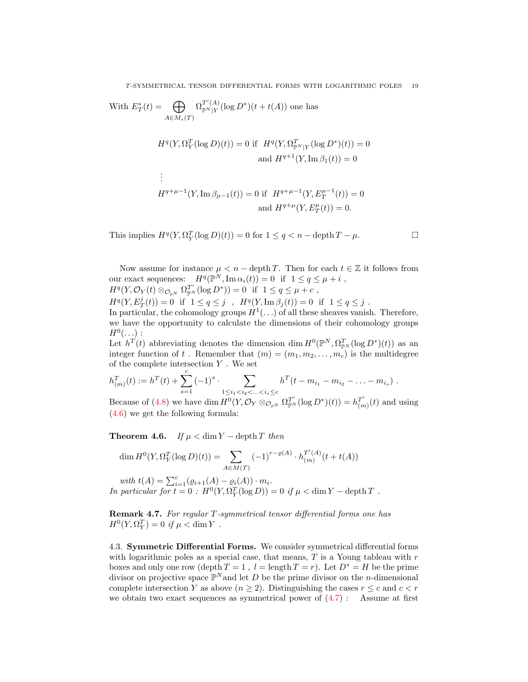With 
$$
E_T^s(t) = \bigoplus_{A \in M_s(T)} \Omega_{\mathbb{P}^N|Y}^{T'(A)}(\log D^*)(t + t(A))
$$
 one has  
\n
$$
H^q(Y, \Omega_Y^T(\log D)(t)) = 0 \text{ if } H^q(Y, \Omega_{\mathbb{P}^N|Y}^T(\log D^*)(t)) = 0
$$
\nand  $H^{q+1}(Y, \text{Im } \beta_1(t)) = 0$   
\n
$$
\vdots
$$
\n
$$
H^{q+\mu-1}(Y, \text{Im } \beta_{\mu-1}(t)) = 0 \text{ if } H^{q+\mu-1}(Y, E_T^{\mu-1}(t)) = 0
$$
\nand  $H^{q+\mu}(Y, E_T^{\mu}(t)) = 0$ .

This implies  $H^q(Y, \Omega_Y^T(\log D)(t)) = 0$  for  $1 \le q < n - \operatorname{depth} T - \mu$ .

Now assume for instance  $\mu < n - \text{depth } T$ . Then for each  $t \in \mathbb{Z}$  it follows from our exact sequences:  $H^q(\mathbb{P}^N, \text{Im}\,\alpha_i(t)) = 0$  if  $1 \leq q \leq \mu + i$ ,  $H^q(Y, \mathcal{O}_Y(t) \otimes_{\mathcal{O}_{\mathbb{P}^N}} \Omega_{\mathbb{P}^N}^{T'}(\log D^*)) = 0$  if  $1 \le q \le \mu + c$ ,  $H^q(Y, E_T^j(t)) = 0$  if  $1 \le q \le j$ ,  $H^q(Y, \text{Im } \beta_j(t)) = 0$  if  $1 \le q \le j$ .

In particular, the cohomology groups  $H^1(\ldots)$  of all these sheaves vanish. Therefore, we have the opportunity to calculate the dimensions of their cohomology groups  $H^0(\ldots)$  :

Let  $h^T(t)$  abbreviating denotes the dimension dim  $H^0(\mathbb{P}^N, \Omega_{\mathbb{P}^N}^T(\log D^*)(t))$  as an integer function of t. Remember that  $(m) = (m_1, m_2, \ldots, m_c)$  is the multidegree of the complete intersection  $Y$  . We set

$$
h_{(m)}^T(t) := h^T(t) + \sum_{s=1}^c (-1)^s \cdot \sum_{\substack{1 \le i_1 < i_2 < \dots < i_s \le c}} h^T(t - m_{i_1} - m_{i_2} - \dots - m_{i_s}) \ .
$$
\nBecause of (4.8) we have  $\lim_{s \to \infty} H^0(X, \mathcal{O}_s) \cong \mathcal{O}_s^{T'}(\log P^{*}(t)) = h^{T'}(t)$  and  $\lim_{s \to \infty} H^0(X, \mathcal{O}_s) \cong \mathcal{O}_s^{T'}(\log P^{*}(t)) = h^{T'}(t)$ .

Because of [\(4.8\)](#page-16-1) we have dim  $H^0(Y, \mathcal{O}_Y \otimes_{\mathcal{O}_{p^N}} \Omega_{p^N}^{T'}(\log D^*)(t)) = h_{(n^N)}^{T'}$  $\binom{T'}{(m)}(t)$  and using [\(4.6\)](#page-15-0) we get the following formula:

**Theorem 4.6.** If  $\mu < \dim Y - \operatorname{depth} T$  then

$$
\dim H^0(Y, \Omega_Y^T(\log D)(t)) = \sum_{A \in M(T)} (-1)^{r - \varrho(A)} \cdot h_{(m)}^{T'(A)}(t + t(A))
$$

with  $t(A) = \sum_{i=1}^{c} (e_{i+1}(A) - e_i(A)) \cdot m_i$ . In particular for  $t = 0$ :  $H^0(Y, \Omega_Y^T(\log D)) = 0$  if  $\mu < \dim Y - \operatorname{depth} T$ .

Remark 4.7. For regular T-symmetrical tensor differential forms one has  $H^0(Y, \Omega_Y^T) = 0$  if  $\mu < \dim Y$ .

4.3. Symmetric Differential Forms. We consider symmetrical differential forms with logarithmic poles as a special case, that means,  $T$  is a Young tableau with  $r$ boxes and only one row (depth  $T = 1$ ,  $l = \text{length } T = r$ ). Let  $D^* = H$  be the prime divisor on projective space  $\mathbb{P}^N$  and let D be the prime divisor on the *n*-dimensional complete intersection Y as above  $(n \geq 2)$ . Distinguishing the cases  $r \leq c$  and  $c < r$ we obtain two exact sequences as symmetrical power of  $(4.7)$ : Assume at first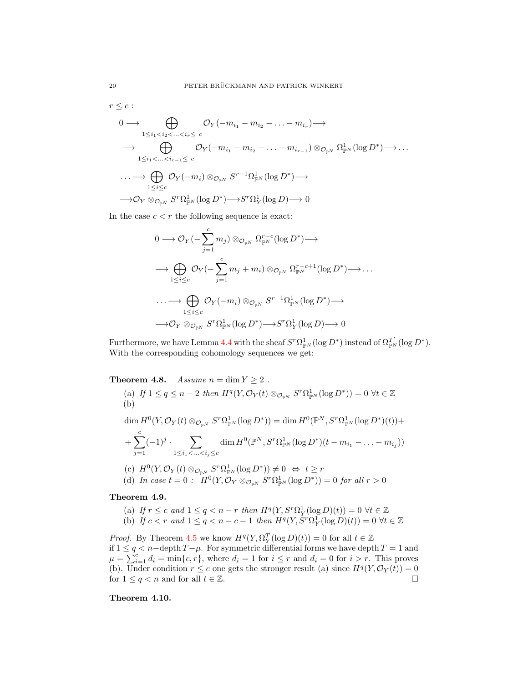$r \leq c$ :

$$
0 \longrightarrow \bigoplus_{1 \leq i_1 < i_2 < \ldots < i_r \leq c} \mathcal{O}_Y(-m_{i_1} - m_{i_2} - \ldots - m_{i_r}) \longrightarrow
$$
\n
$$
\longrightarrow \bigoplus_{1 \leq i_1 < \ldots < i_{r-1} \leq c} \mathcal{O}_Y(-m_{i_1} - m_{i_2} - \ldots - m_{i_{r-1}}) \otimes_{\mathcal{O}_{\mathbb{P}^N}} \Omega_{\mathbb{P}^N}^1(\log D^*) \longrightarrow \ldots
$$
\n
$$
\longrightarrow \bigoplus_{1 \leq i \leq c} \mathcal{O}_Y(-m_i) \otimes_{\mathcal{O}_{\mathbb{P}^N}} S^{r-1} \Omega_{\mathbb{P}^N}^1(\log D^*) \longrightarrow
$$
\n
$$
\longrightarrow \mathcal{O}_Y \otimes_{\mathcal{O}_{\mathbb{P}^N}} S^r \Omega_{\mathbb{P}^N}^1(\log D^*) \longrightarrow S^r \Omega_Y^1(\log D) \longrightarrow 0
$$

In the case  $c < r$  the following sequence is exact:

$$
0 \longrightarrow \mathcal{O}_Y(-\sum_{j=1}^c m_j) \otimes_{\mathcal{O}_{\mathbb{P}^N}} \Omega_{\mathbb{P}^N}^{r-c}(\log D^*) \longrightarrow
$$
  

$$
\longrightarrow \bigoplus_{1 \leq i \leq c} \mathcal{O}_Y(-\sum_{j=1}^c m_j + m_i) \otimes_{\mathcal{O}_{\mathbb{P}^N}} \Omega_{\mathbb{P}^N}^{r-c+1}(\log D^*) \longrightarrow \dots
$$
  

$$
\longrightarrow \bigoplus_{1 \leq i \leq c} \mathcal{O}_Y(-m_i) \otimes_{\mathcal{O}_{\mathbb{P}^N}} S^{r-1} \Omega_{\mathbb{P}^N}^1(\log D^*) \longrightarrow
$$
  

$$
\longrightarrow \mathcal{O}_Y \otimes_{\mathcal{O}_{\mathbb{P}^N}} S^r \Omega_{\mathbb{P}^N}^1(\log D^*) \longrightarrow S^r \Omega_Y^1(\log D) \longrightarrow 0
$$

Furthermore, we have Lemma [4.4](#page-16-0) with the sheaf  $S^r \Omega^1_{\mathbb{P}^N}(\log D^*)$  instead of  $\Omega^{T'}_{\mathbb{P}^N}(\log D^*)$ . With the corresponding cohomology sequences we get:

<span id="page-19-0"></span>Theorem 4.8. Assume  $n = \dim Y \ge 2$ .

(a) If 
$$
1 \le q \le n - 2
$$
 then  $H^q(Y, \mathcal{O}_Y(t) \otimes_{\mathcal{O}_{\mathbb{P}^N}} S^r \Omega^1_{\mathbb{P}^N}(\log D^*)) = 0 \ \forall t \in \mathbb{Z}$   
\n(b)  
\n
$$
\dim H^0(Y, \mathcal{O}_Y(t) \otimes_{\mathcal{O}_{\mathbb{P}^N}} S^r \Omega^1_{\mathbb{P}^N}(\log D^*)) = \dim H^0(\mathbb{P}^N, S^r \Omega^1_{\mathbb{P}^N}(\log D^*)(t)) +
$$
\n
$$
+ \sum_{j=1}^c (-1)^j \cdot \sum_{1 \le i_1 < \ldots < i_j \le c} \dim H^0(\mathbb{P}^N, S^r \Omega^1_{\mathbb{P}^N}(\log D^*)(t - m_{i_1} - \ldots - m_{i_j}))
$$
\n(c)  $H^0(Y, \mathcal{O}_Y(t) \otimes_{\mathcal{O}_{\mathbb{P}^N}} S^r \Omega^1_{\mathbb{P}^N}(\log D^*)) \neq 0 \ \Leftrightarrow \ t \ge r$ 

(d) In case  $t = 0$ :  $H^0(Y, \mathcal{O}_Y \otimes_{\mathcal{O}_{\mathbb{P}^N}} S^r \Omega^1_{\mathbb{P}^N}(\log D^*)) = 0$  for all  $r > 0$ 

## Theorem 4.9.

- (a) If  $r \leq c$  and  $1 \leq q < n-r$  then  $H^q(Y, S^r \Omega_Y^1(\log D)(t)) = 0 \ \forall t \in \mathbb{Z}$
- (b) If  $c < r$  and  $1 \leq q < n c 1$  then  $H^q(Y, S^r \Omega_Y^1(\log D)(t)) = 0 \ \forall t \in \mathbb{Z}$

*Proof.* By Theorem [4.5](#page-16-2) we know  $H^q(Y, \Omega_Y^T(\log D)(t)) = 0$  for all  $t \in \mathbb{Z}$ if  $1 \leq q < n$  − depth  $T-\mu$ . For symmetric differential forms we have depth  $T = 1$  and  $\mu = \sum_{i=1}^{c} d_i = \min\{c, r\}$ , where  $d_i = 1$  for  $i \leq r$  and  $d_i = 0$  for  $i > r$ . This proves (b). Under condition  $r \leq c$  one gets the stronger result (a) since  $H^q(Y, \mathcal{O}_Y(t)) = 0$ for  $1 \le q < n$  and for all  $t \in \mathbb{Z}$ .

Theorem 4.10.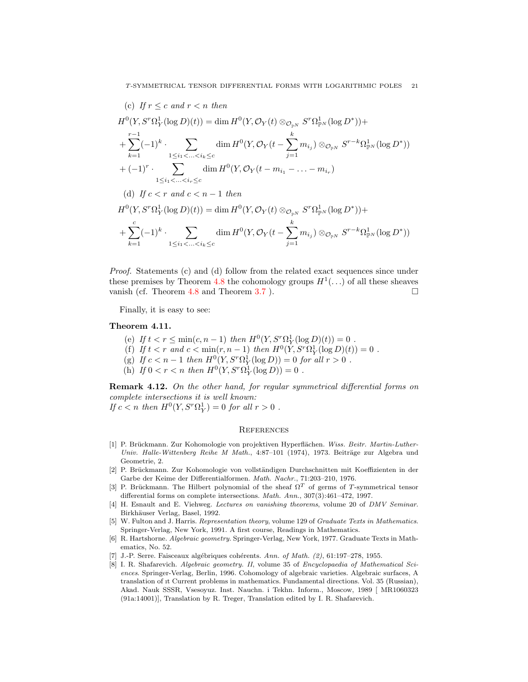(c) If 
$$
r \le c
$$
 and  $r < n$  then  
\n
$$
H^{0}(Y, S^{r}\Omega_{Y}^{1}(\log D)(t)) = \dim H^{0}(Y, \mathcal{O}_{Y}(t) \otimes_{\mathcal{O}_{\mathbb{P}^{N}}} S^{r}\Omega_{\mathbb{P}^{N}}^{1}(\log D^{*})) +
$$
\n
$$
+ \sum_{k=1}^{r-1} (-1)^{k} \cdot \sum_{1 \le i_{1} < ... < i_{k} \le c} \dim H^{0}(Y, \mathcal{O}_{Y}(t - \sum_{j=1}^{k} m_{i_{j}}) \otimes_{\mathcal{O}_{\mathbb{P}^{N}}} S^{r-k}\Omega_{\mathbb{P}^{N}}^{1}(\log D^{*}))
$$
\n
$$
+ (-1)^{r} \cdot \sum_{1 \le i_{1} < ... < i_{r} \le c} \dim H^{0}(Y, \mathcal{O}_{Y}(t - m_{i_{1}} - ... - m_{i_{r}})
$$
\n(d) If  $c < r$  and  $c < n - 1$  then  
\n
$$
H^{0}(Y, S^{r}\Omega_{Y}^{1}(\log D)(t)) = \dim H^{0}(Y, \mathcal{O}_{Y}(t) \otimes_{\mathcal{O}_{\mathbb{P}^{N}}} S^{r}\Omega_{\mathbb{P}^{N}}^{1}(\log D^{*})) +
$$
\n
$$
+ \sum_{k=1}^{c} (-1)^{k} \cdot \sum_{1 \le i_{1} < ... < i_{k} \le c} \dim H^{0}(Y, \mathcal{O}_{Y}(t - \sum_{j=1}^{k} m_{i_{j}}) \otimes_{\mathcal{O}_{\mathbb{P}^{N}}} S^{r-k}\Omega_{\mathbb{P}^{N}}^{1}(\log D^{*}))
$$

Proof. Statements (c) and (d) follow from the related exact sequences since under these premises by Theorem [4.8](#page-19-0) the cohomology groups  $H^1(\ldots)$  of all these sheaves vanish (cf. Theorem [4.8](#page-19-0) and Theorem [3.7](#page-9-1)).  $\Box$ 

Finally, it is easy to see:

## Theorem 4.11.

- (e) If  $t < r \le \min(c, n 1)$  then  $H^0(Y, S^r \Omega_Y^1(\log D)(t)) = 0$ .
- (f) If  $t < r$  and  $c < \min(r, n 1)$  then  $H^0(Y, S^r \Omega_Y^1(\log D)(t)) = 0$ .
- (g) If  $c < n 1$  then  $H^0(Y, S^r \Omega_Y^1(\log D)) = 0$  for all  $r > 0$ .
- (h) If  $0 < r < n$  then  $H^0(Y, S^r \Omega_Y^1(\log D)) = 0$ .

Remark 4.12. On the other hand, for regular symmetrical differential forms on complete intersections it is well known:

If  $c < n$  then  $H^0(Y, S^r \Omega_Y^1) = 0$  for all  $r > 0$ .

### **REFERENCES**

- <span id="page-20-6"></span>[1] P. Brückmann. Zur Kohomologie von projektiven Hyperflächen. Wiss. Beitr. Martin-Luther-Univ. Halle-Wittenberg Reihe M Math., 4:87-101 (1974), 1973. Beiträge zur Algebra und Geometrie, 2.
- <span id="page-20-7"></span>[2] P. Brückmann. Zur Kohomologie von vollständigen Durchschnitten mit Koeffizienten in der Garbe der Keime der Differentialformen. Math. Nachr., 71:203–210, 1976.
- <span id="page-20-2"></span>[3] P. Brückmann. The Hilbert polynomial of the sheaf  $\Omega^T$  of germs of T-symmetrical tensor differential forms on complete intersections. Math. Ann., 307(3):461–472, 1997.
- <span id="page-20-0"></span>[4] H. Esnault and E. Viehweg. Lectures on vanishing theorems, volume 20 of DMV Seminar. Birkhäuser Verlag, Basel, 1992.
- <span id="page-20-3"></span>[5] W. Fulton and J. Harris. Representation theory, volume 129 of Graduate Texts in Mathematics. Springer-Verlag, New York, 1991. A first course, Readings in Mathematics.
- <span id="page-20-5"></span>[6] R. Hartshorne. Algebraic geometry. Springer-Verlag, New York, 1977. Graduate Texts in Mathematics, No. 52.
- <span id="page-20-1"></span>[7] J.-P. Serre. Faisceaux algébriques cohérents. Ann. of Math.  $(2)$ , 61:197-278, 1955.
- <span id="page-20-4"></span>[8] I. R. Shafarevich. Algebraic geometry. II, volume 35 of Encyclopaedia of Mathematical Sciences. Springer-Verlag, Berlin, 1996. Cohomology of algebraic varieties. Algebraic surfaces, A translation of ıt Current problems in mathematics. Fundamental directions. Vol. 35 (Russian), Akad. Nauk SSSR, Vsesoyuz. Inst. Nauchn. i Tekhn. Inform., Moscow, 1989 [ MR1060323 (91a:14001)], Translation by R. Treger, Translation edited by I. R. Shafarevich.